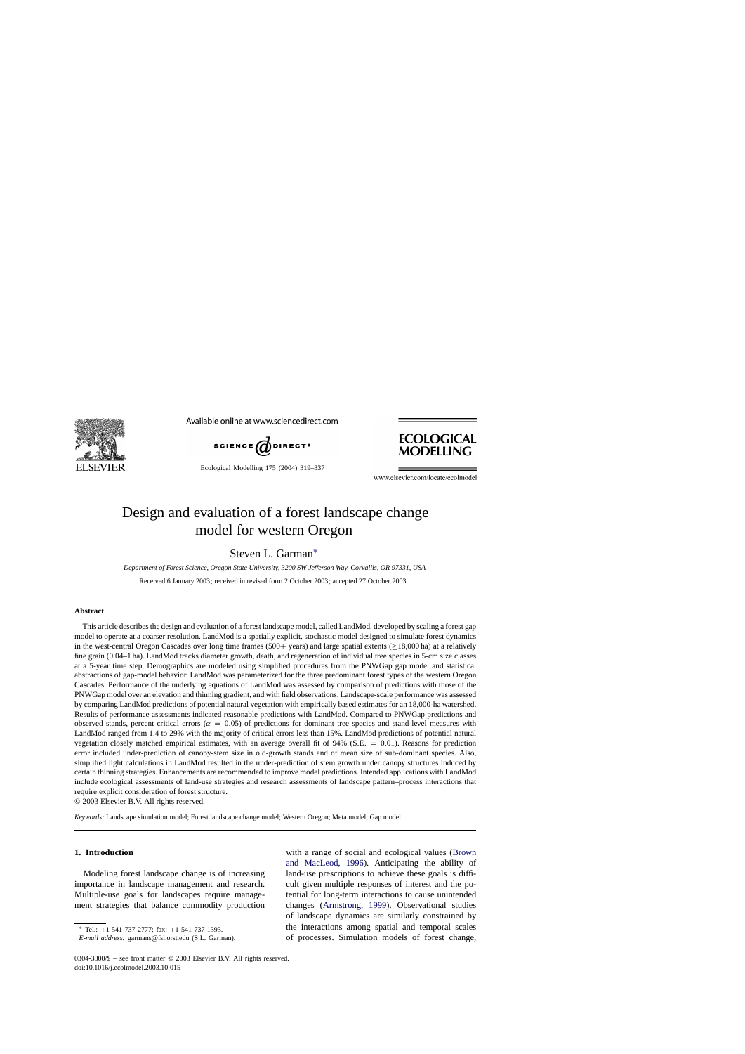

Available online at www.sciencedirect.com



Ecological Modelling 175 (2004) 319–337



www.elsevier.com/locate/ecolmodel

# Design and evaluation of a forest landscape change model for western Oregon

Steven L. Garman∗

*Department of Forest Science, Oregon State University, 3200 SW Jefferson Way, Corvallis, OR 97331, USA*

Received 6 January 2003; received in revised form 2 October 2003; accepted 27 October 2003

#### **Abstract**

This article describes the design and evaluation of a forest landscape model, called LandMod, developed by scaling a forest gap model to operate at a coarser resolution. LandMod is a spatially explicit, stochastic model designed to simulate forest dynamics in the west-central Oregon Cascades over long time frames  $(500+)$  years) and large spatial extents ( $>18,000$  ha) at a relatively fine grain (0.04–1 ha). LandMod tracks diameter growth, death, and regeneration of individual tree species in 5-cm size classes at a 5-year time step. Demographics are modeled using simplified procedures from the PNWGap gap model and statistical abstractions of gap-model behavior. LandMod was parameterized for the three predominant forest types of the western Oregon Cascades. Performance of the underlying equations of LandMod was assessed by comparison of predictions with those of the PNWGap model over an elevation and thinning gradient, and with field observations. Landscape-scale performance was assessed by comparing LandMod predictions of potential natural vegetation with empirically based estimates for an 18,000-ha watershed. Results of performance assessments indicated reasonable predictions with LandMod. Compared to PNWGap predictions and observed stands, percent critical errors ( $\alpha = 0.05$ ) of predictions for dominant tree species and stand-level measures with LandMod ranged from 1.4 to 29% with the majority of critical errors less than 15%. LandMod predictions of potential natural vegetation closely matched empirical estimates, with an average overall fit of  $94\%$  (S.E.  $= 0.01$ ). Reasons for prediction error included under-prediction of canopy-stem size in old-growth stands and of mean size of sub-dominant species. Also, simplified light calculations in LandMod resulted in the under-prediction of stem growth under canopy structures induced by certain thinning strategies. Enhancements are recommended to improve model predictions. Intended applications with LandMod include ecological assessments of land-use strategies and research assessments of landscape pattern–process interactions that require explicit consideration of forest structure.

© 2003 Elsevier B.V. All rights reserved.

*Keywords:* Landscape simulation model; Forest landscape change model; Western Oregon; Meta model; Gap model

# **1. Introduction**

Modeling forest landscape change is of increasing importance in landscape management and research. Multiple-use goals for landscapes require management strategies that balance commodity production

<sup>∗</sup> Tel.: +1-541-737-2777; fax: +1-541-737-1393.

with a range of social and ecological values ([Brown](#page-17-0) [and MacLeod, 1996](#page-17-0)). Anticipating the ability of land-use prescriptions to achieve these goals is difficult given multiple responses of interest and the potential for long-term interactions to cause unintended changes [\(Armstrong, 1999\)](#page-17-0). Observational studies of landscape dynamics are similarly constrained by the interactions among spatial and temporal scales of processes. Simulation models of forest change,

*E-mail address:* garmans@fsl.orst.edu (S.L. Garman).

<sup>0304-3800/\$ –</sup> see front matter © 2003 Elsevier B.V. All rights reserved. doi:10.1016/j.ecolmodel.2003.10.015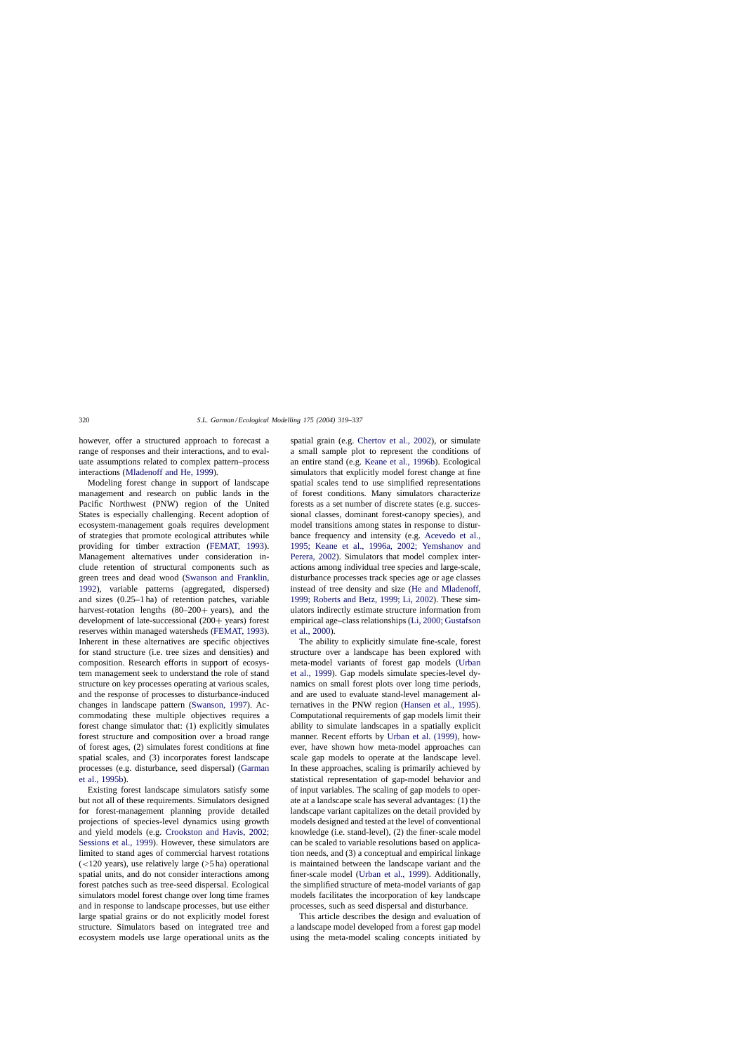however, offer a structured approach to forecast a range of responses and their interactions, and to evaluate assumptions related to complex pattern–process interactions [\(Mladenoff and He, 1999\).](#page-18-0)

Modeling forest change in support of landscape management and research on public lands in the Pacific Northwest (PNW) region of the United States is especially challenging. Recent adoption of ecosystem-management goals requires development of strategies that promote ecological attributes while providing for timber extraction [\(FEMAT, 1993\)](#page-17-0). Management alternatives under consideration include retention of structural components such as green trees and dead wood ([Swanson and Franklin,](#page-18-0) [1992\),](#page-18-0) variable patterns (aggregated, dispersed) and sizes (0.25–1 ha) of retention patches, variable harvest-rotation lengths (80–200+ years), and the development of late-successional (200+ years) forest reserves within managed watersheds ([FEMAT, 1993\).](#page-17-0) Inherent in these alternatives are specific objectives for stand structure (i.e. tree sizes and densities) and composition. Research efforts in support of ecosystem management seek to understand the role of stand structure on key processes operating at various scales, and the response of processes to disturbance-induced changes in landscape pattern ([Swanson, 1997\).](#page-18-0) Accommodating these multiple objectives requires a forest change simulator that: (1) explicitly simulates forest structure and composition over a broad range of forest ages, (2) simulates forest conditions at fine spatial scales, and (3) incorporates forest landscape processes (e.g. disturbance, seed dispersal) [\(Garman](#page-17-0) [et al., 1995b\).](#page-17-0)

Existing forest landscape simulators satisfy some but not all of these requirements. Simulators designed for forest-management planning provide detailed projections of species-level dynamics using growth and yield models (e.g. [Crookston and Havis, 2002;](#page-17-0) [Sessions et al., 1999\).](#page-17-0) However, these simulators are limited to stand ages of commercial harvest rotations (<120 years), use relatively large (>5 ha) operational spatial units, and do not consider interactions among forest patches such as tree-seed dispersal. Ecological simulators model forest change over long time frames and in response to landscape processes, but use either large spatial grains or do not explicitly model forest structure. Simulators based on integrated tree and ecosystem models use large operational units as the spatial grain (e.g. [Chertov et al., 2002\)](#page-17-0), or simulate a small sample plot to represent the conditions of an entire stand (e.g. [Keane et al., 1996b\).](#page-18-0) Ecological simulators that explicitly model forest change at fine spatial scales tend to use simplified representations of forest conditions. Many simulators characterize forests as a set number of discrete states (e.g. successional classes, dominant forest-canopy species), and model transitions among states in response to disturbance frequency and intensity (e.g. [Acevedo et al.,](#page-17-0) [1995; Keane et al., 1996a, 2002; Yemshanov and](#page-17-0) [Perera, 2002\).](#page-17-0) Simulators that model complex interactions among individual tree species and large-scale, disturbance processes track species age or age classes instead of tree density and size [\(He and Mladenoff,](#page-18-0) [1999; Roberts and Betz, 1999; Li, 2002\).](#page-18-0) These simulators indirectly estimate structure information from empirical age–class relationships ([Li, 2000; Gustafson](#page-18-0) [et al., 2000\).](#page-18-0)

The ability to explicitly simulate fine-scale, forest structure over a landscape has been explored with meta-model variants of forest gap models ([Urban](#page-18-0) [et al., 1999\).](#page-18-0) Gap models simulate species-level dynamics on small forest plots over long time periods, and are used to evaluate stand-level management alternatives in the PNW region ([Hansen et al., 1995\)](#page-18-0). Computational requirements of gap models limit their ability to simulate landscapes in a spatially explicit manner. Recent efforts by [Urban et al. \(1999\),](#page-18-0) however, have shown how meta-model approaches can scale gap models to operate at the landscape level. In these approaches, scaling is primarily achieved by statistical representation of gap-model behavior and of input variables. The scaling of gap models to operate at a landscape scale has several advantages: (1) the landscape variant capitalizes on the detail provided by models designed and tested at the level of conventional knowledge (i.e. stand-level), (2) the finer-scale model can be scaled to variable resolutions based on application needs, and (3) a conceptual and empirical linkage is maintained between the landscape variant and the finer-scale model ([Urban et al., 1999\)](#page-18-0). Additionally, the simplified structure of meta-model variants of gap models facilitates the incorporation of key landscape processes, such as seed dispersal and disturbance.

This article describes the design and evaluation of a landscape model developed from a forest gap model using the meta-model scaling concepts initiated by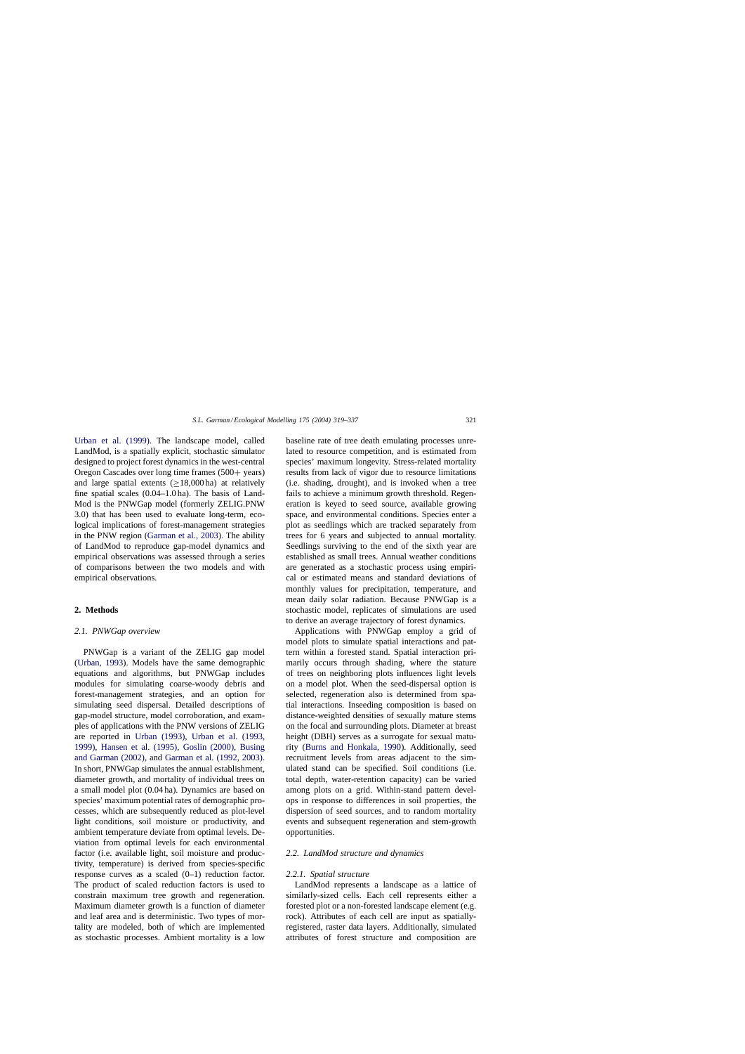[Urban et al. \(1999\)](#page-18-0). The landscape model, called LandMod, is a spatially explicit, stochastic simulator designed to project forest dynamics in the west-central Oregon Cascades over long time frames (500+ years) and large spatial extents  $(\geq 18,000 \text{ ha})$  at relatively fine spatial scales (0.04–1.0 ha). The basis of Land-Mod is the PNWGap model (formerly ZELIG.PNW 3.0) that has been used to evaluate long-term, ecological implications of forest-management strategies in the PNW region ([Garman et al., 2003\).](#page-17-0) The ability of LandMod to reproduce gap-model dynamics and empirical observations was assessed through a series of comparisons between the two models and with empirical observations.

# **2. Methods**

# *2.1. PNWGap overview*

PNWGap is a variant of the ZELIG gap model ([Urban, 1993\).](#page-18-0) Models have the same demographic equations and algorithms, but PNWGap includes modules for simulating coarse-woody debris and forest-management strategies, and an option for simulating seed dispersal. Detailed descriptions of gap-model structure, model corroboration, and examples of applications with the PNW versions of ZELIG are reported in [Urban \(1993\),](#page-18-0) [Urban et al. \(1993,](#page-18-0) [1999\),](#page-18-0) [Hansen et al. \(1995\),](#page-18-0) [Goslin \(2000\),](#page-17-0) [Busing](#page-17-0) [and Garman \(2002\),](#page-17-0) and [Garman et al. \(1992, 2003\).](#page-17-0) In short, PNWGap simulates the annual establishment, diameter growth, and mortality of individual trees on a small model plot (0.04 ha). Dynamics are based on species' maximum potential rates of demographic processes, which are subsequently reduced as plot-level light conditions, soil moisture or productivity, and ambient temperature deviate from optimal levels. Deviation from optimal levels for each environmental factor (i.e. available light, soil moisture and productivity, temperature) is derived from species-specific response curves as a scaled (0–1) reduction factor. The product of scaled reduction factors is used to constrain maximum tree growth and regeneration. Maximum diameter growth is a function of diameter and leaf area and is deterministic. Two types of mortality are modeled, both of which are implemented as stochastic processes. Ambient mortality is a low

baseline rate of tree death emulating processes unrelated to resource competition, and is estimated from species' maximum longevity. Stress-related mortality results from lack of vigor due to resource limitations (i.e. shading, drought), and is invoked when a tree fails to achieve a minimum growth threshold. Regeneration is keyed to seed source, available growing space, and environmental conditions. Species enter a plot as seedlings which are tracked separately from trees for 6 years and subjected to annual mortality. Seedlings surviving to the end of the sixth year are established as small trees. Annual weather conditions are generated as a stochastic process using empirical or estimated means and standard deviations of monthly values for precipitation, temperature, and mean daily solar radiation. Because PNWGap is a stochastic model, replicates of simulations are used to derive an average trajectory of forest dynamics.

Applications with PNWGap employ a grid of model plots to simulate spatial interactions and pattern within a forested stand. Spatial interaction primarily occurs through shading, where the stature of trees on neighboring plots influences light levels on a model plot. When the seed-dispersal option is selected, regeneration also is determined from spatial interactions. Inseeding composition is based on distance-weighted densities of sexually mature stems on the focal and surrounding plots. Diameter at breast height (DBH) serves as a surrogate for sexual maturity [\(Burns and Honkala, 1990\)](#page-17-0). Additionally, seed recruitment levels from areas adjacent to the simulated stand can be specified. Soil conditions (i.e. total depth, water-retention capacity) can be varied among plots on a grid. Within-stand pattern develops in response to differences in soil properties, the dispersion of seed sources, and to random mortality events and subsequent regeneration and stem-growth opportunities.

# *2.2. LandMod structure and dynamics*

#### *2.2.1. Spatial structure*

LandMod represents a landscape as a lattice of similarly-sized cells. Each cell represents either a forested plot or a non-forested landscape element (e.g. rock). Attributes of each cell are input as spatiallyregistered, raster data layers. Additionally, simulated attributes of forest structure and composition are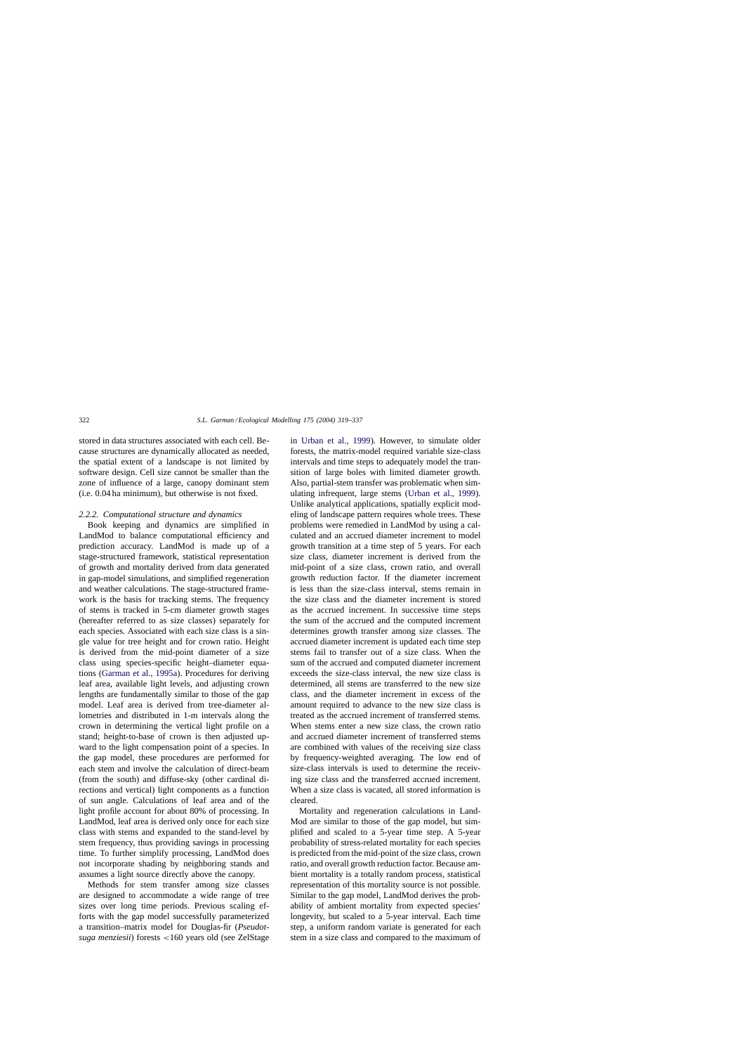stored in data structures associated with each cell. Because structures are dynamically allocated as needed, the spatial extent of a landscape is not limited by software design. Cell size cannot be smaller than the zone of influence of a large, canopy dominant stem (i.e. 0.04 ha minimum), but otherwise is not fixed.

#### *2.2.2. Computational structure and dynamics*

Book keeping and dynamics are simplified in LandMod to balance computational efficiency and prediction accuracy. LandMod is made up of a stage-structured framework, statistical representation of growth and mortality derived from data generated in gap-model simulations, and simplified regeneration and weather calculations. The stage-structured framework is the basis for tracking stems. The frequency of stems is tracked in 5-cm diameter growth stages (hereafter referred to as size classes) separately for each species. Associated with each size class is a single value for tree height and for crown ratio. Height is derived from the mid-point diameter of a size class using species-specific height–diameter equations [\(Garman et al., 1995a\).](#page-17-0) Procedures for deriving leaf area, available light levels, and adjusting crown lengths are fundamentally similar to those of the gap model. Leaf area is derived from tree-diameter allometries and distributed in 1-m intervals along the crown in determining the vertical light profile on a stand; height-to-base of crown is then adjusted upward to the light compensation point of a species. In the gap model, these procedures are performed for each stem and involve the calculation of direct-beam (from the south) and diffuse-sky (other cardinal directions and vertical) light components as a function of sun angle. Calculations of leaf area and of the light profile account for about 80% of processing. In LandMod, leaf area is derived only once for each size class with stems and expanded to the stand-level by stem frequency, thus providing savings in processing time. To further simplify processing, LandMod does not incorporate shading by neighboring stands and assumes a light source directly above the canopy.

Methods for stem transfer among size classes are designed to accommodate a wide range of tree sizes over long time periods. Previous scaling efforts with the gap model successfully parameterized a transition–matrix model for Douglas-fir (*Pseudotsuga menziesii*) forests <160 years old (see ZelStage in [Urban et al., 1999](#page-18-0)). However, to simulate older forests, the matrix-model required variable size-class intervals and time steps to adequately model the transition of large boles with limited diameter growth. Also, partial-stem transfer was problematic when simulating infrequent, large stems [\(Urban et al., 1999\)](#page-18-0). Unlike analytical applications, spatially explicit modeling of landscape pattern requires whole trees. These problems were remedied in LandMod by using a calculated and an accrued diameter increment to model growth transition at a time step of 5 years. For each size class, diameter increment is derived from the mid-point of a size class, crown ratio, and overall growth reduction factor. If the diameter increment is less than the size-class interval, stems remain in the size class and the diameter increment is stored as the accrued increment. In successive time steps the sum of the accrued and the computed increment determines growth transfer among size classes. The accrued diameter increment is updated each time step stems fail to transfer out of a size class. When the sum of the accrued and computed diameter increment exceeds the size-class interval, the new size class is determined, all stems are transferred to the new size class, and the diameter increment in excess of the amount required to advance to the new size class is treated as the accrued increment of transferred stems. When stems enter a new size class, the crown ratio and accrued diameter increment of transferred stems are combined with values of the receiving size class by frequency-weighted averaging. The low end of size-class intervals is used to determine the receiving size class and the transferred accrued increment. When a size class is vacated, all stored information is cleared.

Mortality and regeneration calculations in Land-Mod are similar to those of the gap model, but simplified and scaled to a 5-year time step. A 5-year probability of stress-related mortality for each species is predicted from the mid-point of the size class, crown ratio, and overall growth reduction factor. Because ambient mortality is a totally random process, statistical representation of this mortality source is not possible. Similar to the gap model, LandMod derives the probability of ambient mortality from expected species' longevity, but scaled to a 5-year interval. Each time step, a uniform random variate is generated for each stem in a size class and compared to the maximum of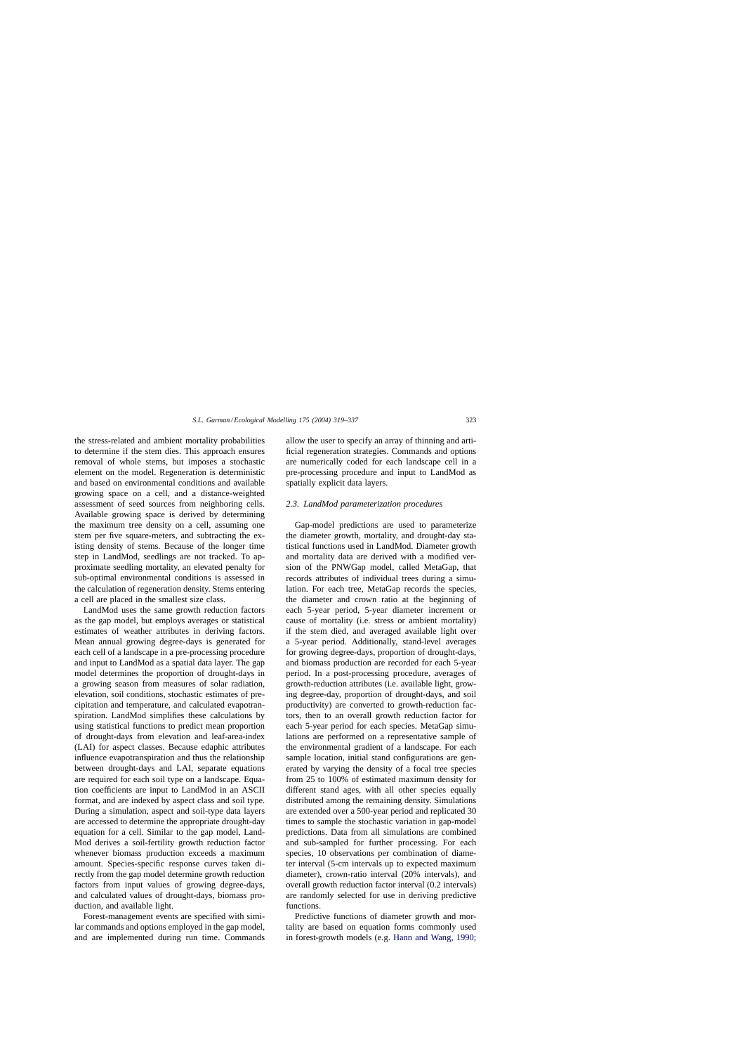the stress-related and ambient mortality probabilities to determine if the stem dies. This approach ensures removal of whole stems, but imposes a stochastic element on the model. Regeneration is deterministic and based on environmental conditions and available growing space on a cell, and a distance-weighted assessment of seed sources from neighboring cells. Available growing space is derived by determining the maximum tree density on a cell, assuming one stem per five square-meters, and subtracting the existing density of stems. Because of the longer time step in LandMod, seedlings are not tracked. To approximate seedling mortality, an elevated penalty for sub-optimal environmental conditions is assessed in the calculation of regeneration density. Stems entering a cell are placed in the smallest size class.

LandMod uses the same growth reduction factors as the gap model, but employs averages or statistical estimates of weather attributes in deriving factors. Mean annual growing degree-days is generated for each cell of a landscape in a pre-processing procedure and input to LandMod as a spatial data layer. The gap model determines the proportion of drought-days in a growing season from measures of solar radiation, elevation, soil conditions, stochastic estimates of precipitation and temperature, and calculated evapotranspiration. LandMod simplifies these calculations by using statistical functions to predict mean proportion of drought-days from elevation and leaf-area-index (LAI) for aspect classes. Because edaphic attributes influence evapotranspiration and thus the relationship between drought-days and LAI, separate equations are required for each soil type on a landscape. Equation coefficients are input to LandMod in an ASCII format, and are indexed by aspect class and soil type. During a simulation, aspect and soil-type data layers are accessed to determine the appropriate drought-day equation for a cell. Similar to the gap model, Land-Mod derives a soil-fertility growth reduction factor whenever biomass production exceeds a maximum amount. Species-specific response curves taken directly from the gap model determine growth reduction factors from input values of growing degree-days, and calculated values of drought-days, biomass production, and available light.

Forest-management events are specified with similar commands and options employed in the gap model, and are implemented during run time. Commands

allow the user to specify an array of thinning and artificial regeneration strategies. Commands and options are numerically coded for each landscape cell in a pre-processing procedure and input to LandMod as spatially explicit data layers.

# *2.3. LandMod parameterization procedures*

Gap-model predictions are used to parameterize the diameter growth, mortality, and drought-day statistical functions used in LandMod. Diameter growth and mortality data are derived with a modified version of the PNWGap model, called MetaGap, that records attributes of individual trees during a simulation. For each tree, MetaGap records the species, the diameter and crown ratio at the beginning of each 5-year period, 5-year diameter increment or cause of mortality (i.e. stress or ambient mortality) if the stem died, and averaged available light over a 5-year period. Additionally, stand-level averages for growing degree-days, proportion of drought-days, and biomass production are recorded for each 5-year period. In a post-processing procedure, averages of growth-reduction attributes (i.e. available light, growing degree-day, proportion of drought-days, and soil productivity) are converted to growth-reduction factors, then to an overall growth reduction factor for each 5-year period for each species. MetaGap simulations are performed on a representative sample of the environmental gradient of a landscape. For each sample location, initial stand configurations are generated by varying the density of a focal tree species from 25 to 100% of estimated maximum density for different stand ages, with all other species equally distributed among the remaining density. Simulations are extended over a 500-year period and replicated 30 times to sample the stochastic variation in gap-model predictions. Data from all simulations are combined and sub-sampled for further processing. For each species, 10 observations per combination of diameter interval (5-cm intervals up to expected maximum diameter), crown-ratio interval (20% intervals), and overall growth reduction factor interval (0.2 intervals) are randomly selected for use in deriving predictive functions.

Predictive functions of diameter growth and mortality are based on equation forms commonly used in forest-growth models (e.g. [Hann and Wang, 1990;](#page-18-0)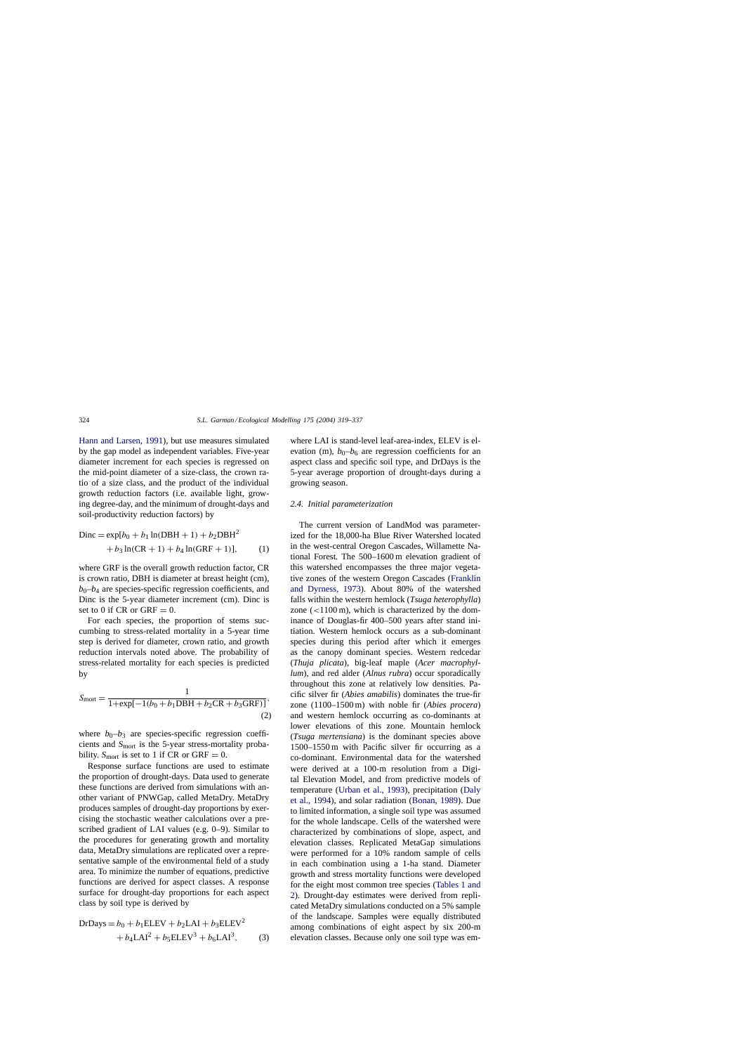<span id="page-5-0"></span>[Hann and Larsen, 1991\),](#page-18-0) but use measures simulated by the gap model as independent variables. Five-year diameter increment for each species is regressed on the mid-point diameter of a size-class, the crown ratio of a size class, and the product of the individual growth reduction factors (i.e. available light, growing degree-day, and the minimum of drought-days and soil-productivity reduction factors) by

$$
\begin{aligned} \text{Dinc} &= \exp[b_0 + b_1 \ln(\text{DBH} + 1) + b_2 \text{DBH}^2 \\ &+ b_3 \ln(\text{CR} + 1) + b_4 \ln(\text{GRF} + 1)], \end{aligned} \tag{1}
$$

where GRF is the overall growth reduction factor, CR is crown ratio, DBH is diameter at breast height (cm),  $b_0$ – $b_4$  are species-specific regression coefficients, and Dinc is the 5-year diameter increment (cm). Dinc is set to 0 if CR or GRF  $= 0$ .

For each species, the proportion of stems succumbing to stress-related mortality in a 5-year time step is derived for diameter, crown ratio, and growth reduction intervals noted above. The probability of stress-related mortality for each species is predicted by

$$
S_{\text{mort}} = \frac{1}{1 + \exp[-1(b_0 + b_1 \text{DBH} + b_2 \text{CR} + b_3 \text{GRF})]},
$$
\n(2)

where  $b_0-b_3$  are species-specific regression coefficients and *S*mort is the 5-year stress-mortality probability.  $S<sub>mort</sub>$  is set to 1 if CR or GRF = 0.

Response surface functions are used to estimate the proportion of drought-days. Data used to generate these functions are derived from simulations with another variant of PNWGap, called MetaDry. MetaDry produces samples of drought-day proportions by exercising the stochastic weather calculations over a prescribed gradient of LAI values (e.g. 0–9). Similar to the procedures for generating growth and mortality data, MetaDry simulations are replicated over a representative sample of the environmental field of a study area. To minimize the number of equations, predictive functions are derived for aspect classes. A response surface for drought-day proportions for each aspect class by soil type is derived by

DrDays = 
$$
b_0 + b_1 ELEV + b_2 LAI + b_3 ELEV^2
$$
  
+  $b_4 LAI^2 + b_5 ELEV^3 + b_6 LAI^3$ , (3)

where LAI is stand-level leaf-area-index, ELEV is elevation (m),  $b_0-b_6$  are regression coefficients for an aspect class and specific soil type, and DrDays is the 5-year average proportion of drought-days during a growing season.

#### *2.4. Initial parameterization*

The current version of LandMod was parameterized for the 18,000-ha Blue River Watershed located in the west-central Oregon Cascades, Willamette National Forest. The 500–1600 m elevation gradient of this watershed encompasses the three major vegetative zones of the western Oregon Cascades ([Franklin](#page-17-0) [and Dyrness, 1973\)](#page-17-0). About 80% of the watershed falls within the western hemlock (*Tsuga heterophylla*) zone  $\left($  < 1100 m), which is characterized by the dominance of Douglas-fir 400–500 years after stand initiation. Western hemlock occurs as a sub-dominant species during this period after which it emerges as the canopy dominant species. Western redcedar (*Thuja plicata*), big-leaf maple (*Acer macrophyllum*), and red alder (*Alnus rubra*) occur sporadically throughout this zone at relatively low densities. Pacific silver fir (*Abies amabilis*) dominates the true-fir zone (1100–1500 m) with noble fir (*Abies procera*) and western hemlock occurring as co-dominants at lower elevations of this zone. Mountain hemlock (*Tsuga mertensiana*) is the dominant species above 1500–1550 m with Pacific silver fir occurring as a co-dominant. Environmental data for the watershed were derived at a 100-m resolution from a Digital Elevation Model, and from predictive models of temperature ([Urban et al., 1993\),](#page-18-0) precipitation [\(Daly](#page-17-0) [et al., 1994\),](#page-17-0) and solar radiation [\(Bonan, 1989\).](#page-17-0) Due to limited information, a single soil type was assumed for the whole landscape. Cells of the watershed were characterized by combinations of slope, aspect, and elevation classes. Replicated MetaGap simulations were performed for a 10% random sample of cells in each combination using a 1-ha stand. Diameter growth and stress mortality functions were developed for the eight most common tree species ([Tables 1 and](#page-6-0) [2\).](#page-6-0) Drought-day estimates were derived from replicated MetaDry simulations conducted on a 5% sample of the landscape. Samples were equally distributed among combinations of eight aspect by six 200-m elevation classes. Because only one soil type was em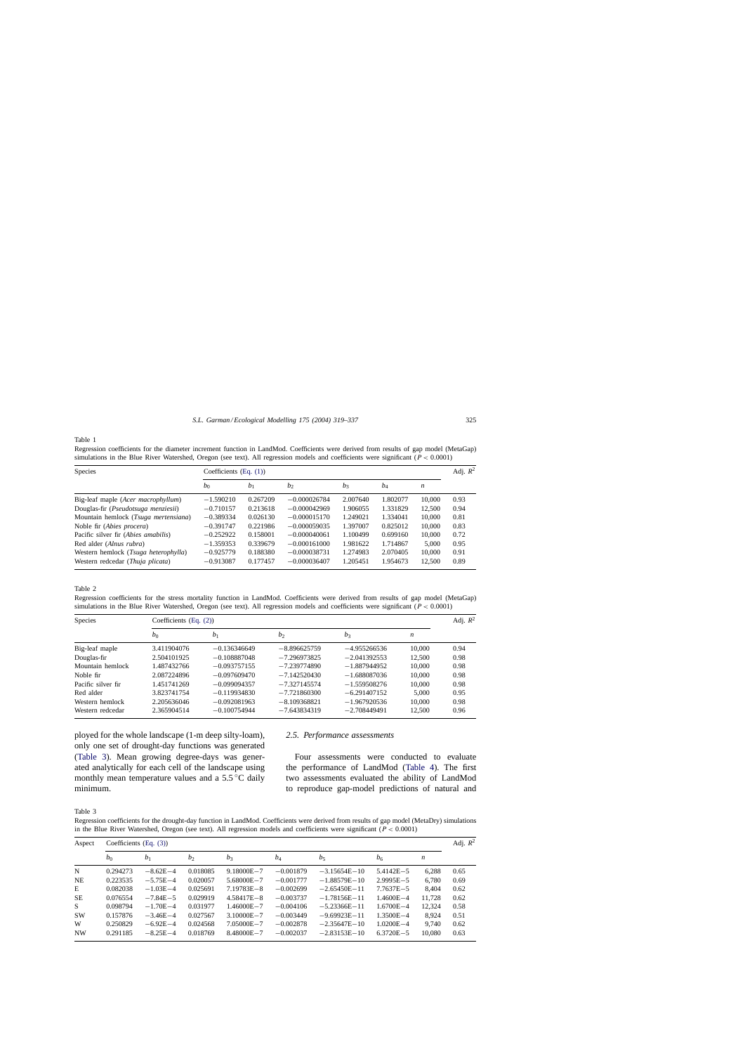<span id="page-6-0"></span>Table 1

Regression coefficients for the diameter increment function in LandMod. Coefficients were derived from results of gap model (MetaGap) simulations in the Blue River Watershed, Oregon (see text). All regression models and coefficients were significant ( $P < 0.0001$ )

| <b>Species</b>                              | Coefficients $(Eq. (1))$ |                |                |          |          |                  |      |  |  |  |
|---------------------------------------------|--------------------------|----------------|----------------|----------|----------|------------------|------|--|--|--|
|                                             | b <sub>0</sub>           | b <sub>1</sub> | b <sub>2</sub> | $b_3$    | $b_4$    | $\boldsymbol{n}$ |      |  |  |  |
| Big-leaf maple ( <i>Acer macrophyllum</i> ) | $-1.590210$              | 0.267209       | $-0.000026784$ | 2.007640 | 1.802077 | 10.000           | 0.93 |  |  |  |
| Douglas-fir (Pseudotsuga menziesii)         | $-0.710157$              | 0.213618       | $-0.000042969$ | 1.906055 | 1.331829 | 12,500           | 0.94 |  |  |  |
| Mountain hemlock (Tsuga mertensiana)        | $-0.389334$              | 0.026130       | $-0.000015170$ | 1.249021 | 1.334041 | 10.000           | 0.81 |  |  |  |
| Noble fir (Abies procera)                   | $-0.391747$              | 0.221986       | $-0.000059035$ | 1.397007 | 0.825012 | 10,000           | 0.83 |  |  |  |
| Pacific silver fir (Abies amabilis)         | $-0.252922$              | 0.158001       | $-0.000040061$ | 1.100499 | 0.699160 | 10,000           | 0.72 |  |  |  |
| Red alder (Alnus rubra)                     | $-1.359353$              | 0.339679       | $-0.000161000$ | 1.981622 | 1.714867 | 5.000            | 0.95 |  |  |  |
| Western hemlock (Tsuga heterophylla)        | $-0.925779$              | 0.188380       | $-0.000038731$ | 1.274983 | 2.070405 | 10,000           | 0.91 |  |  |  |
| Western redcedar (Thuja plicata)            | $-0.913087$              | 0.177457       | $-0.000036407$ | 1.205451 | 1.954673 | 12,500           | 0.89 |  |  |  |

Table 2

Regression coefficients for the stress mortality function in LandMod. Coefficients were derived from results of gap model (MetaGap) simulations in the Blue River Watershed, Oregon (see text). All regression models and coefficients were significant ( $P < 0.0001$ )

| Species            | Coefficients $(Eq. (2))$ |                |                |                |        | Adj. $R^2$ |
|--------------------|--------------------------|----------------|----------------|----------------|--------|------------|
|                    | b <sub>0</sub>           | b <sub>1</sub> | b <sub>2</sub> | $b_3$          | n      |            |
| Big-leaf maple     | 3.411904076              | $-0.136346649$ | $-8.896625759$ | $-4.955266536$ | 10,000 | 0.94       |
| Douglas-fir        | 2.504101925              | $-0.108887048$ | $-7.296973825$ | $-2.041392553$ | 12.500 | 0.98       |
| Mountain hemlock   | 1.487432766              | $-0.093757155$ | $-7.239774890$ | $-1.887944952$ | 10.000 | 0.98       |
| Noble fir          | 2.087224896              | $-0.097609470$ | $-7.142520430$ | $-1.688087036$ | 10.000 | 0.98       |
| Pacific silver fir | 1.451741269              | $-0.099094357$ | $-7.327145574$ | $-1.559508276$ | 10,000 | 0.98       |
| Red alder          | 3.823741754              | $-0.119934830$ | $-7.721860300$ | $-6.291407152$ | 5.000  | 0.95       |
| Western hemlock    | 2.205636046              | $-0.092081963$ | $-8.109368821$ | $-1.967920536$ | 10.000 | 0.98       |
| Western redcedar   | 2.365904514              | $-0.100754944$ | $-7.643834319$ | $-2.708449491$ | 12.500 | 0.96       |

ployed for the whole landscape (1-m deep silty-loam), only one set of drought-day functions was generated (Table 3). Mean growing degree-days was generated analytically for each cell of the landscape using monthly mean temperature values and a  $5.5\,^{\circ}\text{C}$  daily minimum.

#### *2.5. Performance assessments*

Four assessments were conducted to evaluate the performance of LandMod ([Table 4\)](#page-7-0). The first two assessments evaluated the ability of LandMod to reproduce gap-model predictions of natural and

Regression coefficients for the drought-day function in LandMod. Coefficients were derived from results of gap model (MetaDry) simulations in the Blue River Watershed, Oregon (see text). All regression models and coefficients were significant ( $P < 0.0001$ )

| Aspect    | Coefficients $(Eq. (3))$ |                |                |                |             |                  |                |        |      |  |  |  |  |
|-----------|--------------------------|----------------|----------------|----------------|-------------|------------------|----------------|--------|------|--|--|--|--|
|           | b <sub>0</sub>           | b <sub>1</sub> | b <sub>2</sub> | $b_3$          | $b_4$       | $b_5$            | b <sub>6</sub> | n      |      |  |  |  |  |
| N         | 0.294273                 | $-8.62E - 4$   | 0.018085       | $9.18000E - 7$ | $-0.001879$ | $-3.15654E - 10$ | $5.4142E - 5$  | 6.288  | 0.65 |  |  |  |  |
| NE.       | 0.223535                 | $-5.75E - 4$   | 0.020057       | 5.68000E-7     | $-0.001777$ | $-1.88579E - 10$ | $2.9995E - 5$  | 6.780  | 0.69 |  |  |  |  |
| Е         | 0.082038                 | $-1.03E - 4$   | 0.025691       | 7.19783E-8     | $-0.002699$ | $-2.65450E - 11$ | $7.7637E - 5$  | 8.404  | 0.62 |  |  |  |  |
| <b>SE</b> | 0.076554                 | $-7.84E - 5$   | 0.029919       | 4.58417E-8     | $-0.003737$ | $-1.78156E - 11$ | $1.4600E - 4$  | 11.728 | 0.62 |  |  |  |  |
| S         | 0.098794                 | $-1.70E - 4$   | 0.031977       | 1.46000E-7     | $-0.004106$ | $-5.23366E - 11$ | $1.6700E - 4$  | 12.324 | 0.58 |  |  |  |  |
| <b>SW</b> | 0.157876                 | $-3.46E - 4$   | 0.027567       | $3.10000E - 7$ | $-0.003449$ | $-9.69923E - 11$ | $1.3500E - 4$  | 8.924  | 0.51 |  |  |  |  |
| W         | 0.250829                 | $-6.92E - 4$   | 0.024568       | 7.05000E-7     | $-0.002878$ | $-2.35647E - 10$ | $1.0200E - 4$  | 9.740  | 0.62 |  |  |  |  |
| <b>NW</b> | 0.291185                 | $-8.25E - 4$   | 0.018769       | 8.48000E-7     | $-0.002037$ | $-2.83153E - 10$ | $6.3720E - 5$  | 10,080 | 0.63 |  |  |  |  |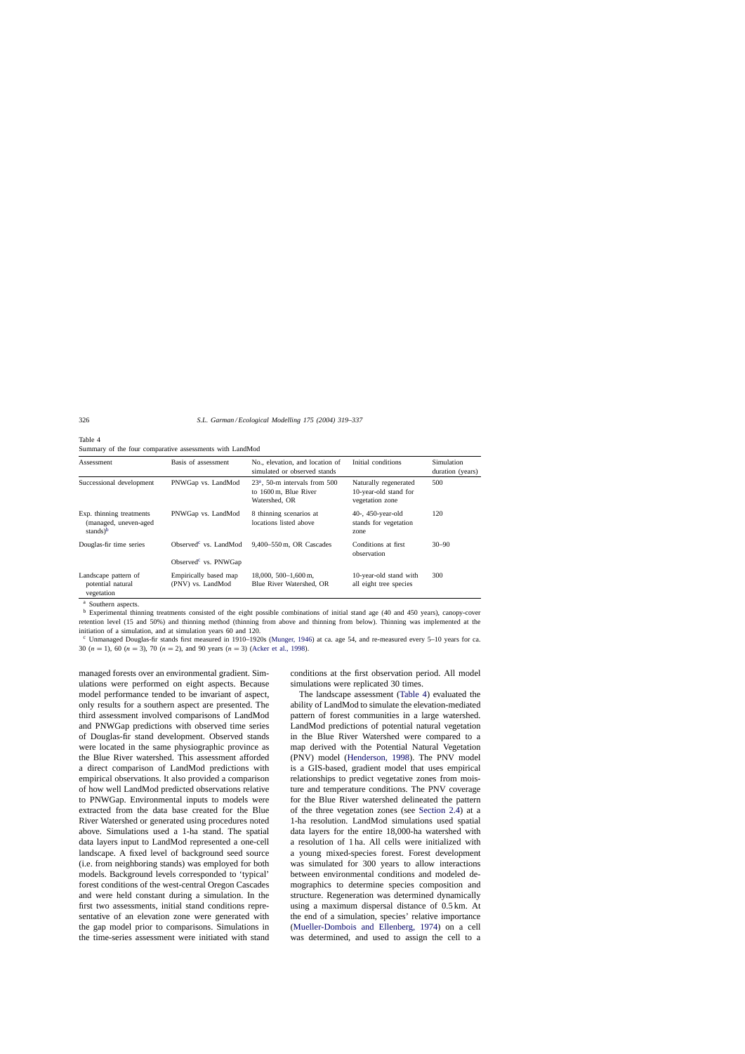| Assessment                                                         | Basis of assessment                                                   | No., elevation, and location of<br>simulated or observed stands           | Initial conditions                                                | Simulation<br>duration (years) |
|--------------------------------------------------------------------|-----------------------------------------------------------------------|---------------------------------------------------------------------------|-------------------------------------------------------------------|--------------------------------|
| Successional development                                           | PNWGap vs. LandMod                                                    | $23a$ , 50-m intervals from 500<br>to 1600 m, Blue River<br>Watershed, OR | Naturally regenerated<br>10-year-old stand for<br>vegetation zone | 500                            |
| Exp. thinning treatments<br>(managed, uneven-aged)<br>stands $)^b$ | PNWGap vs. LandMod                                                    | 8 thinning scenarios at<br>locations listed above                         | $40-$ , $450$ -year-old<br>stands for vegetation<br>zone          | 120                            |
| Douglas-fir time series                                            | Observed <sup>c</sup> vs. LandMod<br>Observed <sup>c</sup> vs. PNWGap | $9.400 - 550$ m. OR Cascades                                              | Conditions at first<br>observation                                | $30 - 90$                      |
| Landscape pattern of<br>potential natural<br>vegetation            | Empirically based map<br>(PNV) vs. LandMod                            | $18,000, 500 - 1,600$ m.<br>Blue River Watershed, OR                      | 10-year-old stand with<br>all eight tree species                  | 300                            |

<span id="page-7-0"></span>Table 4 Summary of the four comparative assessments with LandMod

<sup>a</sup> Southern aspects.

<sup>b</sup> Experimental thinning treatments consisted of the eight possible combinations of initial stand age (40 and 450 years), canopy-cover retention level (15 and 50%) and thinning method (thinning from above and thinning from below). Thinning was implemented at the initiation of a simulation, and at simulation years 60 and 120.

<sup>c</sup> Unmanaged Douglas-fir stands first measured in 1910–1920s ([Munger, 1946\)](#page-18-0) at ca. age 54, and re-measured every 5–10 years for ca. 30 ( $n = 1$ ), 60 ( $n = 3$ ), 70 ( $n = 2$ ), and 90 years ( $n = 3$ ) [\(Acker et al., 1998\).](#page-17-0)

managed forests over an environmental gradient. Simulations were performed on eight aspects. Because model performance tended to be invariant of aspect, only results for a southern aspect are presented. The third assessment involved comparisons of LandMod and PNWGap predictions with observed time series of Douglas-fir stand development. Observed stands were located in the same physiographic province as the Blue River watershed. This assessment afforded a direct comparison of LandMod predictions with empirical observations. It also provided a comparison of how well LandMod predicted observations relative to PNWGap. Environmental inputs to models were extracted from the data base created for the Blue River Watershed or generated using procedures noted above. Simulations used a 1-ha stand. The spatial data layers input to LandMod represented a one-cell landscape. A fixed level of background seed source (i.e. from neighboring stands) was employed for both models. Background levels corresponded to 'typical' forest conditions of the west-central Oregon Cascades and were held constant during a simulation. In the first two assessments, initial stand conditions representative of an elevation zone were generated with the gap model prior to comparisons. Simulations in the time-series assessment were initiated with stand conditions at the first observation period. All model simulations were replicated 30 times.

The landscape assessment (Table 4) evaluated the ability of LandMod to simulate the elevation-mediated pattern of forest communities in a large watershed. LandMod predictions of potential natural vegetation in the Blue River Watershed were compared to a map derived with the Potential Natural Vegetation (PNV) model ([Henderson, 1998\)](#page-18-0). The PNV model is a GIS-based, gradient model that uses empirical relationships to predict vegetative zones from moisture and temperature conditions. The PNV coverage for the Blue River watershed delineated the pattern of the three vegetation zones (see [Section 2.4\)](#page-5-0) at a 1-ha resolution. LandMod simulations used spatial data layers for the entire 18,000-ha watershed with a resolution of 1 ha. All cells were initialized with a young mixed-species forest. Forest development was simulated for 300 years to allow interactions between environmental conditions and modeled demographics to determine species composition and structure. Regeneration was determined dynamically using a maximum dispersal distance of 0.5 km. At the end of a simulation, species' relative importance ([Mueller-Dombois and Ellenberg, 1974](#page-18-0)) on a cell was determined, and used to assign the cell to a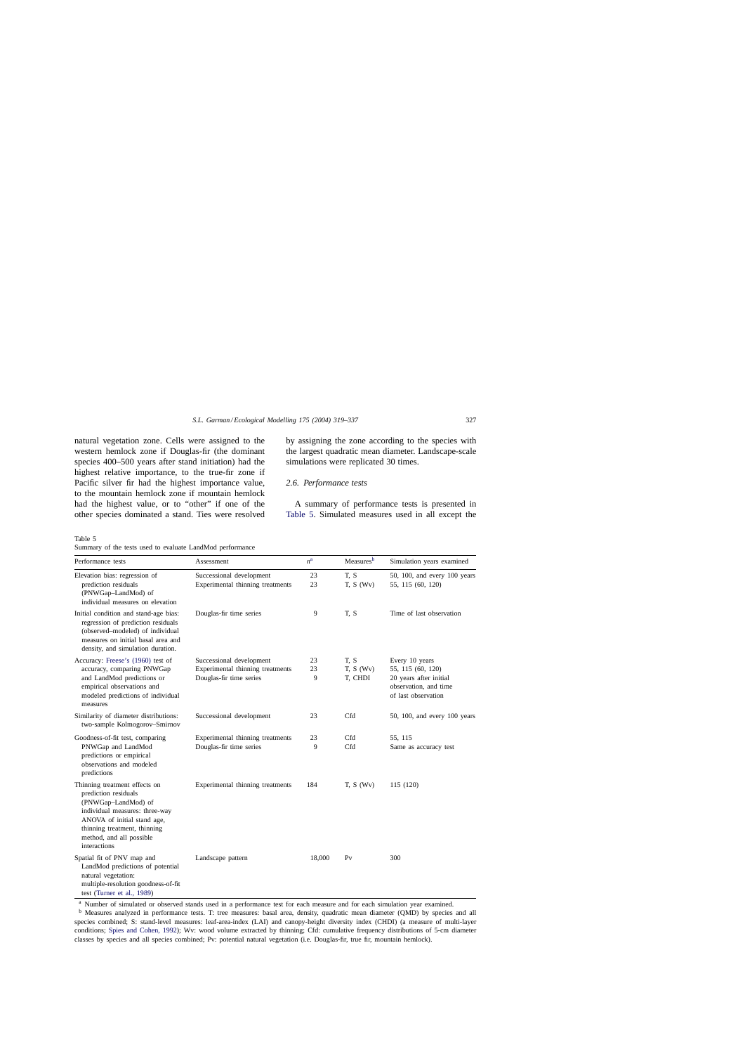natural vegetation zone. Cells were assigned to the western hemlock zone if Douglas-fir (the dominant species 400–500 years after stand initiation) had the highest relative importance, to the true-fir zone if Pacific silver fir had the highest importance value, to the mountain hemlock zone if mountain hemlock had the highest value, or to "other" if one of the other species dominated a stand. Ties were resolved by assigning the zone according to the species with the largest quadratic mean diameter. Landscape-scale simulations were replicated 30 times.

## *2.6. Performance tests*

A summary of performance tests is presented in Table 5. Simulated measures used in all except the

Table 5

| <b>TAUR</b> |  |  |  |                                                           |
|-------------|--|--|--|-----------------------------------------------------------|
|             |  |  |  | Summary of the tests used to evaluate LandMod performance |

| Performance tests                                                                                                                                                                                                         | Assessment                                                   | $n^{\rm a}$ | Measuresb            | Simulation years examined                                                                   |
|---------------------------------------------------------------------------------------------------------------------------------------------------------------------------------------------------------------------------|--------------------------------------------------------------|-------------|----------------------|---------------------------------------------------------------------------------------------|
| Elevation bias: regression of<br>prediction residuals<br>(PNWGap-LandMod) of<br>individual measures on elevation                                                                                                          | Successional development<br>Experimental thinning treatments | 23<br>23    | T.S<br>T, S (Wv)     | 50, 100, and every 100 years<br>55, 115 (60, 120)                                           |
| Initial condition and stand-age bias:<br>regression of prediction residuals<br>(observed-modeled) of individual<br>measures on initial basal area and<br>density, and simulation duration.                                | Douglas-fir time series                                      | 9           | T. S                 | Time of last observation                                                                    |
| Accuracy: Freese's (1960) test of                                                                                                                                                                                         | Successional development                                     | 23          | T.S                  | Every 10 years                                                                              |
| accuracy, comparing PNWGap<br>and LandMod predictions or<br>empirical observations and<br>modeled predictions of individual<br>measures                                                                                   | Experimental thinning treatments<br>Douglas-fir time series  | 23<br>9     | T, S (Wv)<br>T, CHDI | 55, 115 (60, 120)<br>20 years after initial<br>observation, and time<br>of last observation |
| Similarity of diameter distributions:<br>two-sample Kolmogorov-Smirnov                                                                                                                                                    | Successional development                                     | 23          | Cfd                  | 50, 100, and every 100 years                                                                |
| Goodness-of-fit test, comparing<br>PNWGap and LandMod<br>predictions or empirical<br>observations and modeled<br>predictions                                                                                              | Experimental thinning treatments<br>Douglas-fir time series  | 23<br>9     | Cfd<br>Cfd           | 55, 115<br>Same as accuracy test                                                            |
| Thinning treatment effects on<br>prediction residuals<br>(PNWGap-LandMod) of<br>individual measures: three-way<br>ANOVA of initial stand age,<br>thinning treatment, thinning<br>method, and all possible<br>interactions | Experimental thinning treatments                             | 184         | T, S (Wv)            | 115 (120)                                                                                   |
| Spatial fit of PNV map and<br>LandMod predictions of potential<br>natural vegetation:<br>multiple-resolution goodness-of-fit<br>test (Turner et al., 1989)                                                                | Landscape pattern                                            | 18,000      | P <sub>V</sub>       | 300                                                                                         |

<sup>a</sup> Number of simulated or observed stands used in a performance test for each measure and for each simulation year examined.

<sup>b</sup> Measures analyzed in performance tests. T: tree measures: basal area, density, quadratic mean diameter (QMD) by species and all species combined; S: stand-level measures: leaf-area-index (LAI) and canopy-height diversity index (CHDI) (a measure of multi-layer conditions; [Spies and Cohen, 1992\);](#page-18-0) Wv: wood volume extracted by thinning; Cfd: cumulative frequency distributions of 5-cm diameter classes by species and all species combined; Pv: potential natural vegetation (i.e. Douglas-fir, true fir, mountain hemlock).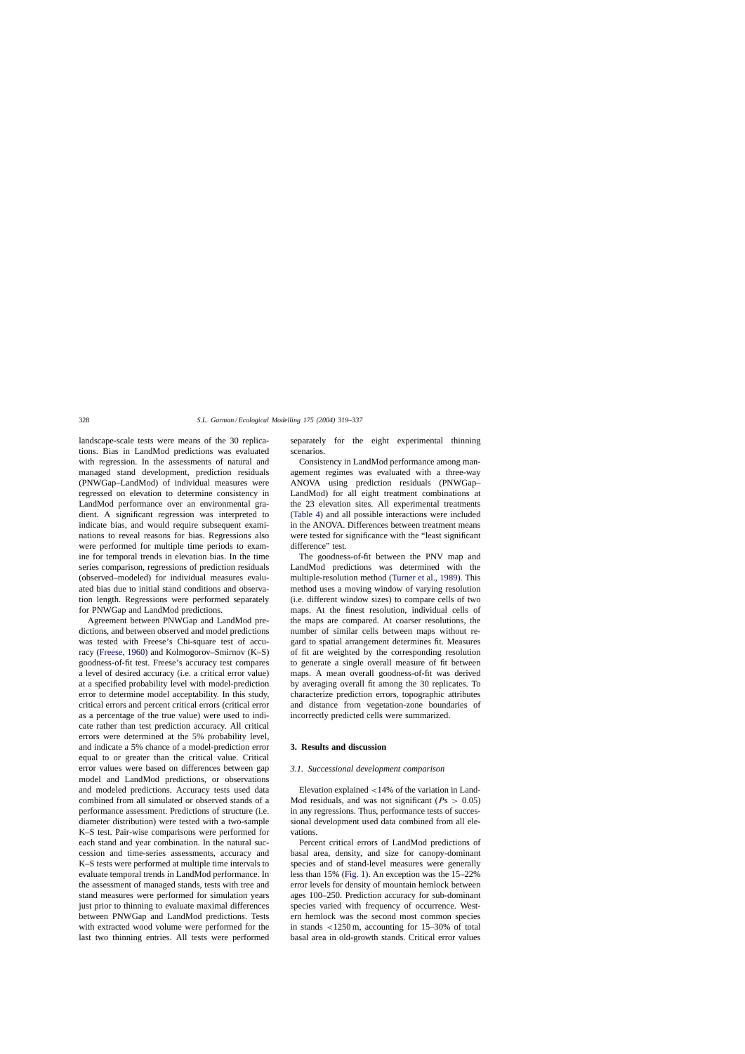landscape-scale tests were means of the 30 replications. Bias in LandMod predictions was evaluated with regression. In the assessments of natural and managed stand development, prediction residuals (PNWGap–LandMod) of individual measures were regressed on elevation to determine consistency in LandMod performance over an environmental gradient. A significant regression was interpreted to indicate bias, and would require subsequent examinations to reveal reasons for bias. Regressions also were performed for multiple time periods to examine for temporal trends in elevation bias. In the time series comparison, regressions of prediction residuals (observed–modeled) for individual measures evaluated bias due to initial stand conditions and observation length. Regressions were performed separately for PNWGap and LandMod predictions.

Agreement between PNWGap and LandMod predictions, and between observed and model predictions was tested with Freese's Chi-square test of accuracy ([Freese, 1960\)](#page-17-0) and Kolmogorov–Smirnov (K–S) goodness-of-fit test. Freese's accuracy test compares a level of desired accuracy (i.e. a critical error value) at a specified probability level with model-prediction error to determine model acceptability. In this study, critical errors and percent critical errors (critical error as a percentage of the true value) were used to indicate rather than test prediction accuracy. All critical errors were determined at the 5% probability level, and indicate a 5% chance of a model-prediction error equal to or greater than the critical value. Critical error values were based on differences between gap model and LandMod predictions, or observations and modeled predictions. Accuracy tests used data combined from all simulated or observed stands of a performance assessment. Predictions of structure (i.e. diameter distribution) were tested with a two-sample K–S test. Pair-wise comparisons were performed for each stand and year combination. In the natural succession and time-series assessments, accuracy and K–S tests were performed at multiple time intervals to evaluate temporal trends in LandMod performance. In the assessment of managed stands, tests with tree and stand measures were performed for simulation years just prior to thinning to evaluate maximal differences between PNWGap and LandMod predictions. Tests with extracted wood volume were performed for the last two thinning entries. All tests were performed separately for the eight experimental thinning scenarios.

Consistency in LandMod performance among management regimes was evaluated with a three-way ANOVA using prediction residuals (PNWGap– LandMod) for all eight treatment combinations at the 23 elevation sites. All experimental treatments ([Table 4\)](#page-7-0) and all possible interactions were included in the ANOVA. Differences between treatment means were tested for significance with the "least significant difference" test.

The goodness-of-fit between the PNV map and LandMod predictions was determined with the multiple-resolution method [\(Turner et al., 1989\).](#page-18-0) This method uses a moving window of varying resolution (i.e. different window sizes) to compare cells of two maps. At the finest resolution, individual cells of the maps are compared. At coarser resolutions, the number of similar cells between maps without regard to spatial arrangement determines fit. Measures of fit are weighted by the corresponding resolution to generate a single overall measure of fit between maps. A mean overall goodness-of-fit was derived by averaging overall fit among the 30 replicates. To characterize prediction errors, topographic attributes and distance from vegetation-zone boundaries of incorrectly predicted cells were summarized.

## **3. Results and discussion**

# *3.1. Successional development comparison*

Elevation explained <14% of the variation in Land-Mod residuals, and was not significant ( $Ps > 0.05$ ) in any regressions. Thus, performance tests of successional development used data combined from all elevations.

Percent critical errors of LandMod predictions of basal area, density, and size for canopy-dominant species and of stand-level measures were generally less than 15% ([Fig. 1\).](#page-10-0) An exception was the 15–22% error levels for density of mountain hemlock between ages 100–250. Prediction accuracy for sub-dominant species varied with frequency of occurrence. Western hemlock was the second most common species in stands  $\langle 1250 \text{ m}$ , accounting for 15–30% of total basal area in old-growth stands. Critical error values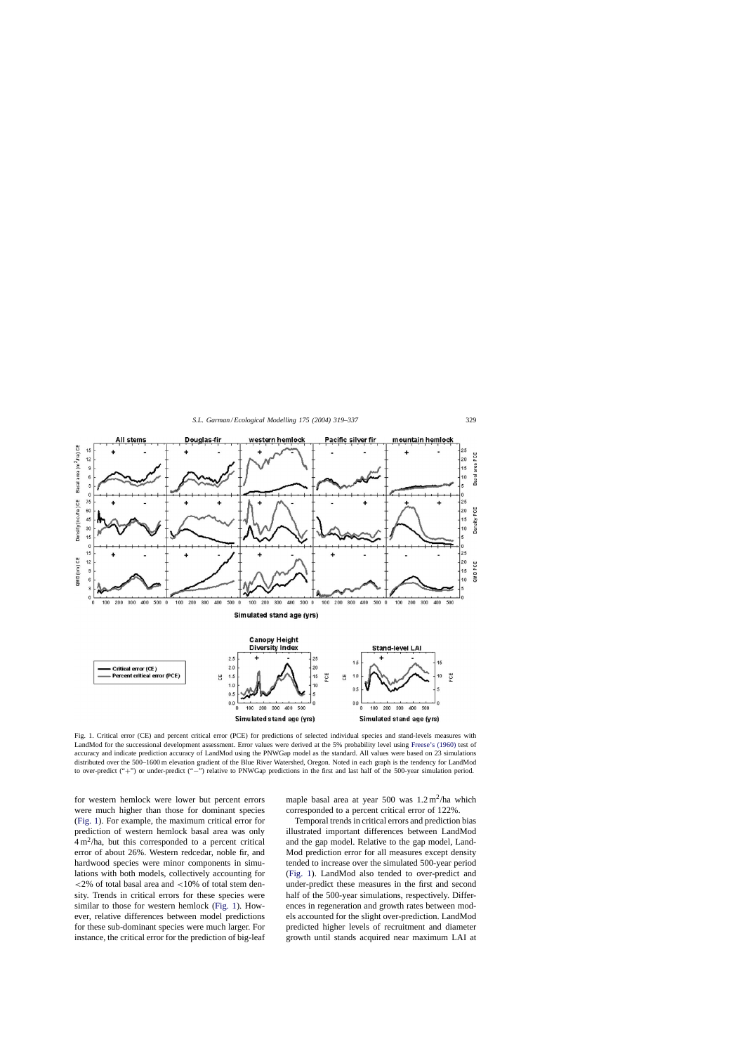<span id="page-10-0"></span>

Fig. 1. Critical error (CE) and percent critical error (PCE) for predictions of selected individual species and stand-levels measures with LandMod for the successional development assessment. Error values were derived at the 5% probability level using [Freese's \(1960\)](#page-17-0) test of accuracy and indicate prediction accuracy of LandMod using the PNWGap model as the standard. All values were based on 23 simulations distributed over the 500–1600 m elevation gradient of the Blue River Watershed, Oregon. Noted in each graph is the tendency for LandMod to over-predict ("+") or under-predict ("−") relative to PNWGap predictions in the first and last half of the 500-year simulation period.

for western hemlock were lower but percent errors were much higher than those for dominant species (Fig. 1). For example, the maximum critical error for prediction of western hemlock basal area was only  $4 \text{ m}^2/\text{ha}$ , but this corresponded to a percent critical error of about 26%. Western redcedar, noble fir, and hardwood species were minor components in simulations with both models, collectively accounting for  $\langle 2\%$  of total basal area and  $\langle 10\%$  of total stem density. Trends in critical errors for these species were similar to those for western hemlock (Fig. 1). However, relative differences between model predictions for these sub-dominant species were much larger. For instance, the critical error for the prediction of big-leaf maple basal area at year 500 was  $1.2 \text{ m}^2/\text{ha}$  which corresponded to a percent critical error of 122%.

Temporal trends in critical errors and prediction bias illustrated important differences between LandMod and the gap model. Relative to the gap model, Land-Mod prediction error for all measures except density tended to increase over the simulated 500-year period (Fig. 1). LandMod also tended to over-predict and under-predict these measures in the first and second half of the 500-year simulations, respectively. Differences in regeneration and growth rates between models accounted for the slight over-prediction. LandMod predicted higher levels of recruitment and diameter growth until stands acquired near maximum LAI at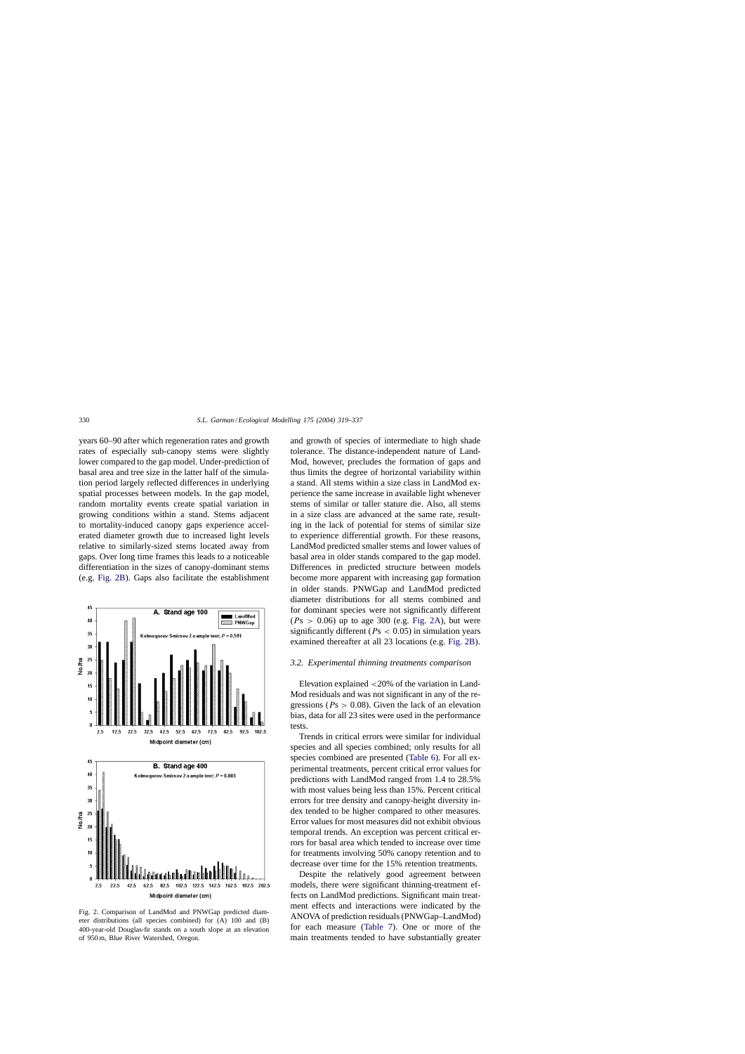years 60–90 after which regeneration rates and growth rates of especially sub-canopy stems were slightly lower compared to the gap model. Under-prediction of basal area and tree size in the latter half of the simulation period largely reflected differences in underlying spatial processes between models. In the gap model, random mortality events create spatial variation in growing conditions within a stand. Stems adjacent to mortality-induced canopy gaps experience accelerated diameter growth due to increased light levels relative to similarly-sized stems located away from gaps. Over long time frames this leads to a noticeable differentiation in the sizes of canopy-dominant stems (e.g. Fig. 2B). Gaps also facilitate the establishment



Fig. 2. Comparison of LandMod and PNWGap predicted diameter distributions (all species combined) for (A) 100 and (B) 400-year-old Douglas-fir stands on a south slope at an elevation of 950 m, Blue River Watershed, Oregon.

and growth of species of intermediate to high shade tolerance. The distance-independent nature of Land-Mod, however, precludes the formation of gaps and thus limits the degree of horizontal variability within a stand. All stems within a size class in LandMod experience the same increase in available light whenever stems of similar or taller stature die. Also, all stems in a size class are advanced at the same rate, resulting in the lack of potential for stems of similar size to experience differential growth. For these reasons, LandMod predicted smaller stems and lower values of basal area in older stands compared to the gap model. Differences in predicted structure between models become more apparent with increasing gap formation in older stands. PNWGap and LandMod predicted diameter distributions for all stems combined and for dominant species were not significantly different  $(P<sub>S</sub> > 0.06)$  up to age 300 (e.g. Fig. 2A), but were significantly different ( $Ps < 0.05$ ) in simulation years examined thereafter at all 23 locations (e.g. Fig. 2B).

# *3.2. Experimental thinning treatments comparison*

Elevation explained <20% of the variation in Land-Mod residuals and was not significant in any of the regressions ( $Ps > 0.08$ ). Given the lack of an elevation bias, data for all 23 sites were used in the performance tests.

Trends in critical errors were similar for individual species and all species combined; only results for all species combined are presented [\(Table 6\).](#page-12-0) For all experimental treatments, percent critical error values for predictions with LandMod ranged from 1.4 to 28.5% with most values being less than 15%. Percent critical errors for tree density and canopy-height diversity index tended to be higher compared to other measures. Error values for most measures did not exhibit obvious temporal trends. An exception was percent critical errors for basal area which tended to increase over time for treatments involving 50% canopy retention and to decrease over time for the 15% retention treatments.

Despite the relatively good agreement between models, there were significant thinning-treatment effects on LandMod predictions. Significant main treatment effects and interactions were indicated by the ANOVA of prediction residuals (PNWGap–LandMod) for each measure [\(Table 7\)](#page-13-0). One or more of the main treatments tended to have substantially greater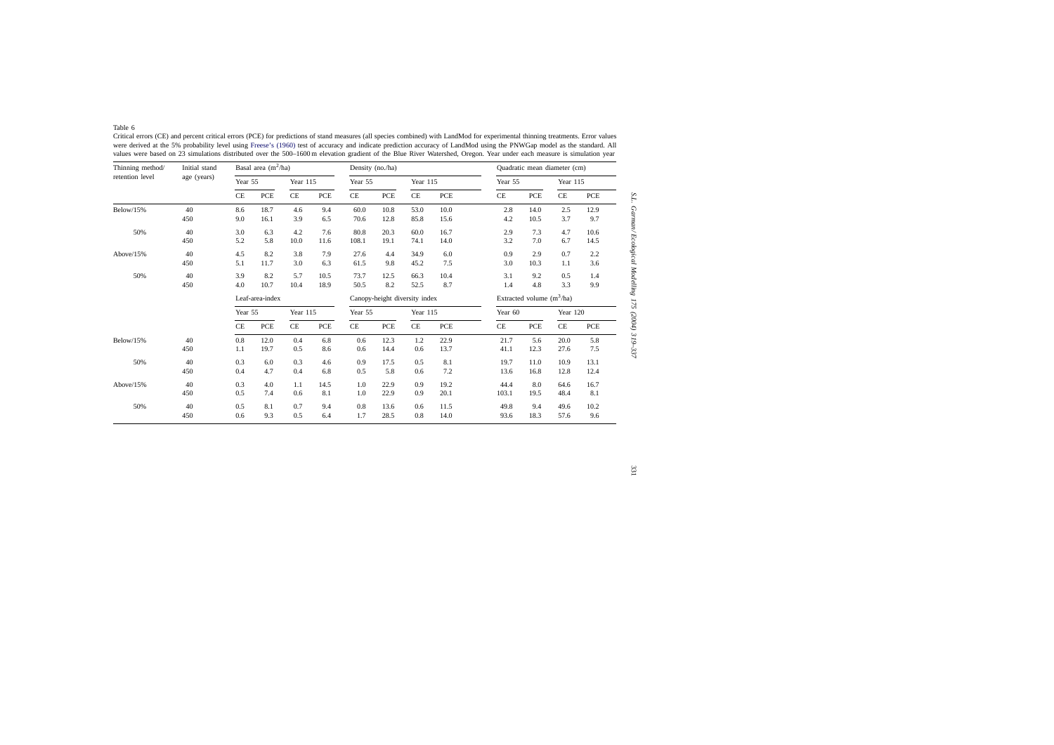<span id="page-12-0"></span>Critical errors (CE) and percen<sup>t</sup> critical errors (PCE) for predictions of stand measures (all species combined) with LandMod for experimental thinning treatments. Error values were derived at the 5% probability level using [Freese's](#page-17-0) (1960) test of accuracy and indicate prediction accuracy of LandMod using the PNWGap model as the standard. All values were based on 23 simulations distributed over the 500–1600 <sup>m</sup> elevation gradient of the Blue River Watershed, Oregon. Year under each measure is simulation year

| Initial stand<br>Thinning method/ | Basal area $(m^2/ha)$ |                 |            |          |           | Density (no./ha)              |      |          |           | Quadratic mean diameter (cm) |      |          |                           |  |
|-----------------------------------|-----------------------|-----------------|------------|----------|-----------|-------------------------------|------|----------|-----------|------------------------------|------|----------|---------------------------|--|
| retention level                   | age (years)           | Year 55         |            | Year 115 |           | Year 55                       |      | Year 115 |           | Year 55                      |      | Year 115 |                           |  |
|                                   | CE                    | <b>PCE</b>      | CE         | PCE      | $\!$ $\!$ | <b>PCE</b>                    | CE   | PCE      | $\!$ $\!$ | <b>PCE</b>                   | CE   | PCE      |                           |  |
| Below/15%                         | 40                    | 8.6             | 18.7       | 4.6      | 9.4       | 60.0                          | 10.8 | 53.0     | 10.0      | 2.8                          | 14.0 | 2.5      | 12.9                      |  |
|                                   | 450                   | 9.0             | 16.1       | 3.9      | 6.5       | 70.6                          | 12.8 | 85.8     | 15.6      | 4.2                          | 10.5 | 3.7      | 9.7                       |  |
| 50%                               | 40                    | 3.0             | 6.3        | 4.2      | 7.6       | 80.8                          | 20.3 | 60.0     | 16.7      | 2.9                          | 7.3  | 4.7      | 10.6                      |  |
|                                   | 450                   | 5.2             | 5.8        | 10.0     | 11.6      | 108.1                         | 19.1 | 74.1     | 14.0      | 3.2                          | 7.0  | 6.7      | 14.5                      |  |
| Above/15%                         | 40                    | 4.5             | 8.2        | 3.8      | 7.9       | 27.6                          | 4.4  | 34.9     | 6.0       | 0.9                          | 2.9  | 0.7      | 2.2                       |  |
|                                   | 450                   | 5.1             | 11.7       | 3.0      | 6.3       | 61.5                          | 9.8  | 45.2     | 7.5       | 3.0                          | 10.3 | 1.1      | 3.6                       |  |
| 50%                               | 40                    | 3.9             | 8.2        | 5.7      | 10.5      | 73.7                          | 12.5 | 66.3     | 10.4      | 3.1                          | 9.2  | 0.5      | 1.4                       |  |
| 450                               | 4.0                   | 10.7            | 10.4       | 18.9     | 50.5      | 8.2                           | 52.5 | 8.7      | 1.4       | 4.8                          | 3.3  | 9.9      |                           |  |
|                                   |                       | Leaf-area-index |            |          |           | Canopy-height diversity index |      |          |           | Extracted volume $(m^3/ha)$  |      |          |                           |  |
|                                   |                       | Year 55         |            | Year 115 |           | Year 55                       |      | Year 115 |           | Year 60                      |      | Year 120 |                           |  |
|                                   |                       | CE              | <b>PCE</b> | CE       | PCE       | CE                            | PCE  | CE       | PCE       | CE                           | PCE  | CE       | $\ensuremath{\text{PCE}}$ |  |
| Below/15%                         | 40                    | 0.8             | 12.0       | 0.4      | 6.8       | 0.6                           | 12.3 | 1.2      | 22.9      | 21.7                         | 5.6  | 20.0     | 5.8                       |  |
|                                   | 450                   | 1.1             | 19.7       | 0.5      | 8.6       | 0.6                           | 14.4 | 0.6      | 13.7      | 41.1                         | 12.3 | 27.6     | 7.5                       |  |
| 50%                               | 40                    | 0.3             | 6.0        | 0.3      | 4.6       | 0.9                           | 17.5 | 0.5      | 8.1       | 19.7                         | 11.0 | 10.9     | 13.1                      |  |
|                                   | 450                   | 0.4             | 4.7        | 0.4      | 6.8       | 0.5                           | 5.8  | 0.6      | 7.2       | 13.6                         | 16.8 | 12.8     | 12.4                      |  |
| Above/15%                         | 40                    | 0.3             | 4.0        | 1.1      | 14.5      | 1.0                           | 22.9 | 0.9      | 19.2      | 44.4                         | 8.0  | 64.6     | 16.7                      |  |
|                                   | 450                   | 0.5             | 7.4        | 0.6      | 8.1       | 1.0                           | 22.9 | 0.9      | 20.1      | 103.1                        | 19.5 | 48.4     | 8.1                       |  |
| 50%                               | 40                    | 0.5             | 8.1        | 0.7      | 9.4       | 0.8                           | 13.6 | 0.6      | 11.5      | 49.8                         | 9.4  | 49.6     | 10.2                      |  |
|                                   | 450                   | 0.6             | 9.3        | 0.5      | 6.4       | 1.7                           | 28.5 | 0.8      | 14.0      | 93.6                         | 18.3 | 57.6     | 9.6                       |  |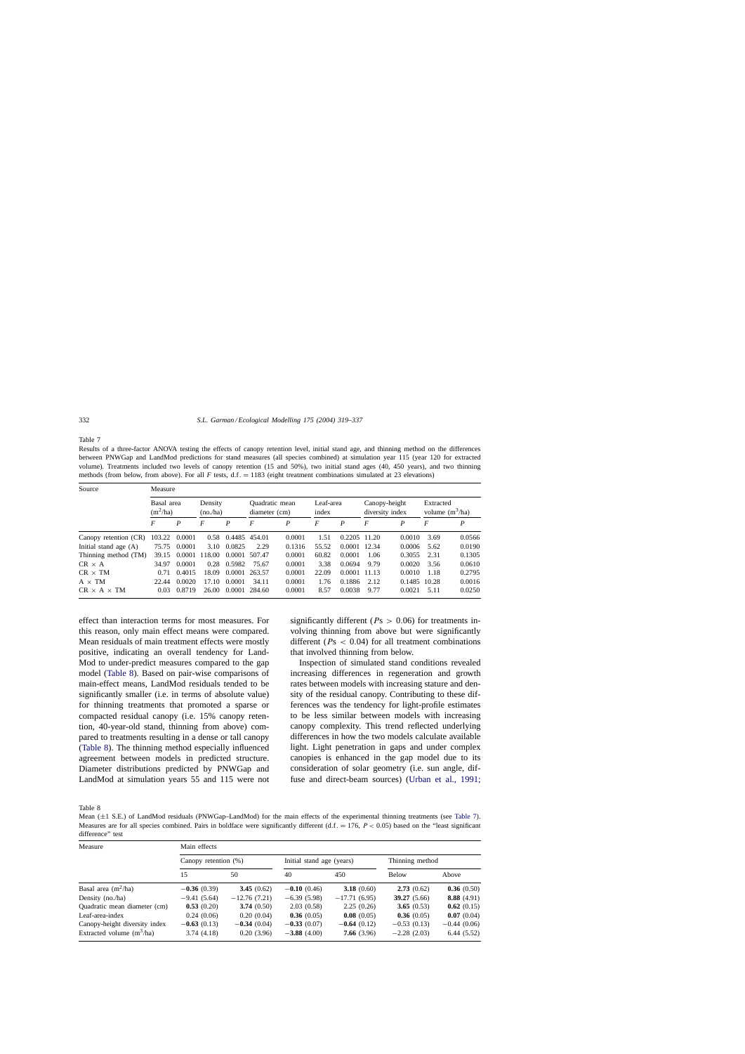<span id="page-13-0"></span>Table 7

Results of a three-factor ANOVA testing the effects of canopy retention level, initial stand age, and thinning method on the differences between PNWGap and LandMod predictions for stand measures (all species combined) at simulation year 115 (year 120 for extracted volume). Treatments included two levels of canopy retention (15 and 50%), two initial stand ages (40, 450 years), and two thinning methods (from below, from above). For all  $F$  tests,  $d.f. = 1183$  (eight treatment combinations simulated at 23 elevations)

| Source                  | Measure                  |        |                    |               |        |                                 |       |                    |       |                                  |                                |        |  |  |
|-------------------------|--------------------------|--------|--------------------|---------------|--------|---------------------------------|-------|--------------------|-------|----------------------------------|--------------------------------|--------|--|--|
|                         | Basal area<br>$(m^2/ha)$ |        | Density<br>(no.ha) |               |        | Quadratic mean<br>diameter (cm) |       | Leaf-area<br>index |       | Canopy-height<br>diversity index | Extracted<br>volume $(m^3/ha)$ |        |  |  |
|                         | F                        | P      | F                  | P             | F      | P                               | F     | P                  | F     | P                                | F                              | P      |  |  |
| Canopy retention (CR)   | 103.22                   | 0.0001 | 0.58               | 0.4485 454.01 |        | 0.0001                          | 1.51  | 0.2205             | 11.20 | 0.0010                           | 3.69                           | 0.0566 |  |  |
| Initial stand age $(A)$ | 75.75                    | 0.0001 | 3.10               | 0.0825        | 2.29   | 0.1316                          | 55.52 | 0.0001             | 12.34 | 0.0006                           | 5.62                           | 0.0190 |  |  |
| Thinning method (TM)    | 39.15                    | 0.0001 | 118.00             | 0.0001        | 507.47 | 0.0001                          | 60.82 | 0.0001             | 1.06  | 0.3055                           | 2.31                           | 0.1305 |  |  |
| $CR \times A$           | 34.97                    | 0.0001 | 0.28               | 0.5982        | 75.67  | 0.0001                          | 3.38  | 0.0694             | 9.79  | 0.0020                           | 3.56                           | 0.0610 |  |  |
| $CR \times TM$          | 0.71                     | 0.4015 | 18.09              | 0.0001        | 263.57 | 0.0001                          | 22.09 | 0.0001             | 11.13 | 0.0010                           | 1.18                           | 0.2795 |  |  |
| $A \times TM$           | 22.44                    | 0.0020 | 17.10              | 0.0001        | 34.11  | 0.0001                          | 1.76  | 0.1886             | 2.12  | 0.1485                           | 10.28                          | 0.0016 |  |  |
| $CR \times A \times TM$ | 0.03                     | 0.8719 | 26.00              | 0.0001        | 284.60 | 0.0001                          | 8.57  | 0.0038             | 9.77  | 0.0021                           | 5.11                           | 0.0250 |  |  |

effect than interaction terms for most measures. For this reason, only main effect means were compared. Mean residuals of main treatment effects were mostly positive, indicating an overall tendency for Land-Mod to under-predict measures compared to the gap model (Table 8). Based on pair-wise comparisons of main-effect means, LandMod residuals tended to be significantly smaller (i.e. in terms of absolute value) for thinning treatments that promoted a sparse or compacted residual canopy (i.e. 15% canopy retention, 40-year-old stand, thinning from above) compared to treatments resulting in a dense or tall canopy (Table 8). The thinning method especially influenced agreement between models in predicted structure. Diameter distributions predicted by PNWGap and LandMod at simulation years 55 and 115 were not significantly different ( $Ps > 0.06$ ) for treatments involving thinning from above but were significantly different ( $Ps < 0.04$ ) for all treatment combinations that involved thinning from below.

Inspection of simulated stand conditions revealed increasing differences in regeneration and growth rates between models with increasing stature and density of the residual canopy. Contributing to these differences was the tendency for light-profile estimates to be less similar between models with increasing canopy complexity. This trend reflected underlying differences in how the two models calculate available light. Light penetration in gaps and under complex canopies is enhanced in the gap model due to its consideration of solar geometry (i.e. sun angle, diffuse and direct-beam sources) [\(Urban et al., 1991;](#page-18-0)

Mean (±1 S.E.) of LandMod residuals (PNWGap–LandMod) for the main effects of the experimental thinning treatments (see Table 7). Measures are for all species combined. Pairs in boldface were significantly different  $(d.f. = 176, P < 0.05)$  based on the "least significant difference" test

| Measure                       | Main effects            |                |                           |                |                 |               |  |  |  |  |  |
|-------------------------------|-------------------------|----------------|---------------------------|----------------|-----------------|---------------|--|--|--|--|--|
|                               | Canopy retention $(\%)$ |                | Initial stand age (years) |                | Thinning method |               |  |  |  |  |  |
|                               | 15                      | 50             | 40                        | 450            | <b>Below</b>    | Above         |  |  |  |  |  |
| Basal area $(m^2/ha)$         | $-0.36(0.39)$           | 3.45(0.62)     | $-0.10(0.46)$             | 3.18(0.60)     | 2.73(0.62)      | 0.36(0.50)    |  |  |  |  |  |
| Density (no./ha)              | $-9.41(5.64)$           | $-12.76(7.21)$ | $-6.39(5.98)$             | $-17.71(6.95)$ | 39.27(5.66)     | 8.88 $(4.91)$ |  |  |  |  |  |
| Quadratic mean diameter (cm)  | 0.53(0.20)              | 3.74(0.50)     | 2.03(0.58)                | 2.25(0.26)     | 3.65(0.53)      | 0.62(0.15)    |  |  |  |  |  |
| Leaf-area-index               | 0.24(0.06)              | 0.20(0.04)     | 0.36(0.05)                | 0.08(0.05)     | 0.36(0.05)      | 0.07(0.04)    |  |  |  |  |  |
| Canopy-height diversity index | $-0.63(0.13)$           | $-0.34(0.04)$  | $-0.33(0.07)$             | $-0.64(0.12)$  | $-0.53(0.13)$   | $-0.44(0.06)$ |  |  |  |  |  |
| Extracted volume $(m^3/ha)$   | 3.74(4.18)              | 0.20(3.96)     | $-3.88(4.00)$             | 7.66(3.96)     | $-2.28(2.03)$   | 6.44(5.52)    |  |  |  |  |  |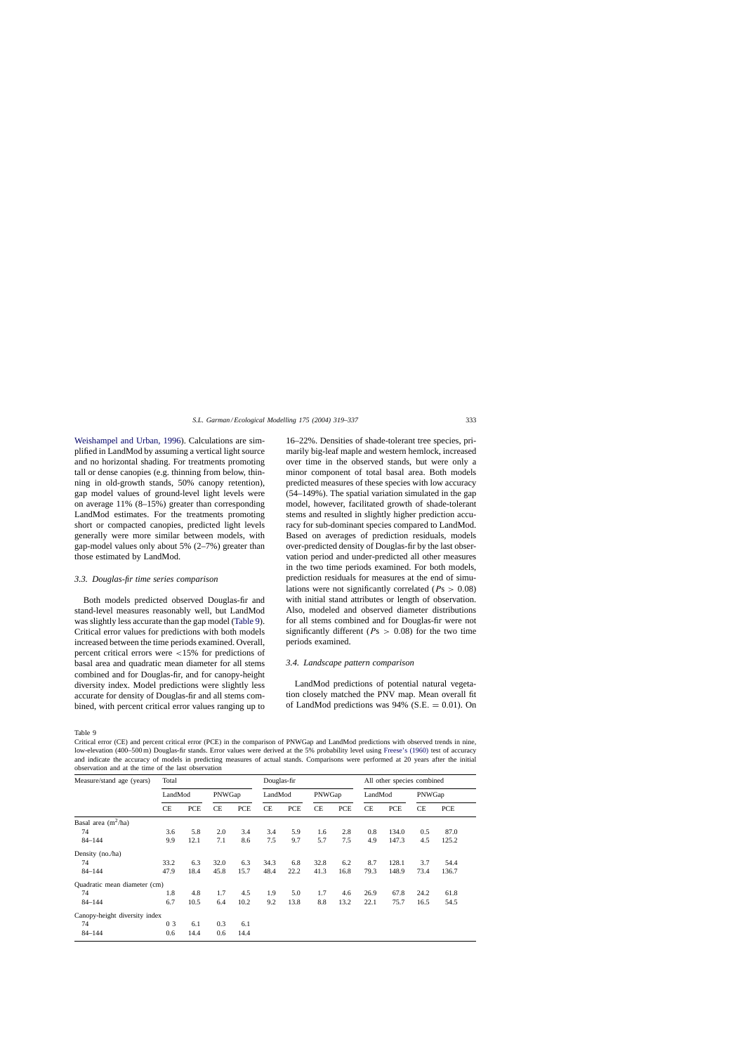[Weishampel and Urban, 1996\).](#page-18-0) Calculations are simplified in LandMod by assuming a vertical light source and no horizontal shading. For treatments promoting tall or dense canopies (e.g. thinning from below, thinning in old-growth stands, 50% canopy retention), gap model values of ground-level light levels were on average 11% (8–15%) greater than corresponding LandMod estimates. For the treatments promoting short or compacted canopies, predicted light levels generally were more similar between models, with gap-model values only about 5% (2–7%) greater than those estimated by LandMod.

## *3.3. Douglas-fir time series comparison*

Both models predicted observed Douglas-fir and stand-level measures reasonably well, but LandMod was slightly less accurate than the gap model (Table 9). Critical error values for predictions with both models increased between the time periods examined. Overall, percent critical errors were <15% for predictions of basal area and quadratic mean diameter for all stems combined and for Douglas-fir, and for canopy-height diversity index. Model predictions were slightly less accurate for density of Douglas-fir and all stems combined, with percent critical error values ranging up to 16–22%. Densities of shade-tolerant tree species, primarily big-leaf maple and western hemlock, increased over time in the observed stands, but were only a minor component of total basal area. Both models predicted measures of these species with low accuracy (54–149%). The spatial variation simulated in the gap model, however, facilitated growth of shade-tolerant stems and resulted in slightly higher prediction accuracy for sub-dominant species compared to LandMod. Based on averages of prediction residuals, models over-predicted density of Douglas-fir by the last observation period and under-predicted all other measures in the two time periods examined. For both models, prediction residuals for measures at the end of simulations were not significantly correlated ( $Ps > 0.08$ ) with initial stand attributes or length of observation. Also, modeled and observed diameter distributions for all stems combined and for Douglas-fir were not significantly different ( $Ps > 0.08$ ) for the two time periods examined.

# *3.4. Landscape pattern comparison*

LandMod predictions of potential natural vegetation closely matched the PNV map. Mean overall fit of LandMod predictions was  $94\%$  (S.E. = 0.01). On

Critical error (CE) and percent critical error (PCE) in the comparison of PNWGap and LandMod predictions with observed trends in nine, low-elevation (400–500 m) Douglas-fir stands. Error values were derived at the 5% probability level using [Freese's \(1960\)](#page-17-0) test of accuracy and indicate the accuracy of models in predicting measures of actual stands. Comparisons were performed at 20 years after the initial observation and at the time of the last observation

| Measure/stand age (years)     | Total |         |      |            | Douglas-fir |            |           |            | All other species combined |       |           |       |  |
|-------------------------------|-------|---------|------|------------|-------------|------------|-----------|------------|----------------------------|-------|-----------|-------|--|
|                               |       | LandMod |      | PNWGap     | LandMod     |            | PNWGap    |            | LandMod                    |       | PNWGap    |       |  |
|                               | CE    | PCE     | CE   | <b>PCE</b> | CE          | <b>PCE</b> | <b>CE</b> | <b>PCE</b> | CE                         | PCE   | <b>CE</b> | PCE   |  |
| Basal area $(m^2/ha)$         |       |         |      |            |             |            |           |            |                            |       |           |       |  |
| 74                            | 3.6   | 5.8     | 2.0  | 3.4        | 3.4         | 5.9        | 1.6       | 2.8        | 0.8                        | 134.0 | 0.5       | 87.0  |  |
| $84 - 144$                    | 9.9   | 12.1    | 7.1  | 8.6        | 7.5         | 9.7        | 5.7       | 7.5        | 4.9                        | 147.3 | 4.5       | 125.2 |  |
| Density (no./ha)              |       |         |      |            |             |            |           |            |                            |       |           |       |  |
| 74                            | 33.2  | 6.3     | 32.0 | 6.3        | 34.3        | 6.8        | 32.8      | 6.2        | 8.7                        | 128.1 | 3.7       | 54.4  |  |
| $84 - 144$                    | 47.9  | 18.4    | 45.8 | 15.7       | 48.4        | 22.2       | 41.3      | 16.8       | 79.3                       | 148.9 | 73.4      | 136.7 |  |
| Quadratic mean diameter (cm)  |       |         |      |            |             |            |           |            |                            |       |           |       |  |
| 74                            | 1.8   | 4.8     | 1.7  | 4.5        | 1.9         | 5.0        | 1.7       | 4.6        | 26.9                       | 67.8  | 24.2      | 61.8  |  |
| $84 - 144$                    | 6.7   | 10.5    | 6.4  | 10.2       | 9.2         | 13.8       | 8.8       | 13.2       | 22.1                       | 75.7  | 16.5      | 54.5  |  |
| Canopy-height diversity index |       |         |      |            |             |            |           |            |                            |       |           |       |  |
| 74                            | 0 3   | 6.1     | 0.3  | 6.1        |             |            |           |            |                            |       |           |       |  |
| 84-144                        | 0.6   | 14.4    | 0.6  | 14.4       |             |            |           |            |                            |       |           |       |  |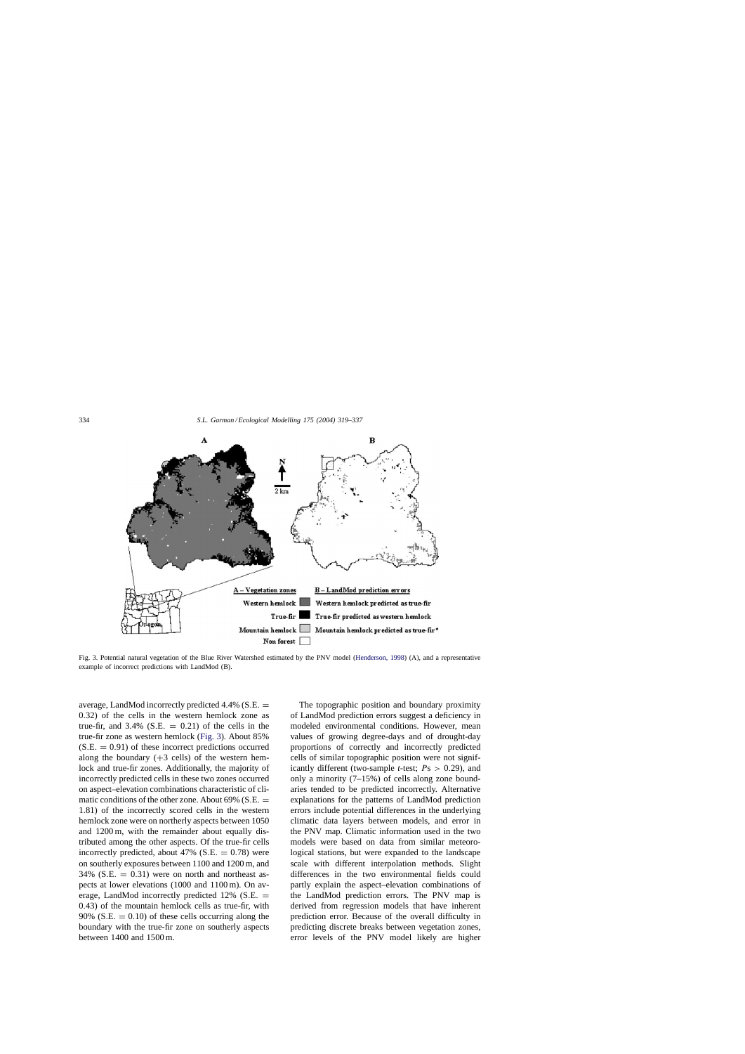

Fig. 3. Potential natural vegetation of the Blue River Watershed estimated by the PNV model [\(Henderson, 1998\)](#page-18-0) (A), and a representative example of incorrect predictions with LandMod (B).

average, LandMod incorrectly predicted  $4.4\%$  (S.E.  $=$ 0.32) of the cells in the western hemlock zone as true-fir, and  $3.4\%$  (S.E. = 0.21) of the cells in the true-fir zone as western hemlock (Fig. 3). About 85%  $(S.E. = 0.91)$  of these incorrect predictions occurred along the boundary  $(+3$  cells) of the western hemlock and true-fir zones. Additionally, the majority of incorrectly predicted cells in these two zones occurred on aspect–elevation combinations characteristic of climatic conditions of the other zone. About  $69\%$  (S.E.  $=$ 1.81) of the incorrectly scored cells in the western hemlock zone were on northerly aspects between 1050 and 1200 m, with the remainder about equally distributed among the other aspects. Of the true-fir cells incorrectly predicted, about 47% (S.E.  $= 0.78$ ) were on southerly exposures between 1100 and 1200 m, and  $34\%$  (S.E. = 0.31) were on north and northeast aspects at lower elevations (1000 and 1100 m). On average, LandMod incorrectly predicted  $12\%$  (S.E. = 0.43) of the mountain hemlock cells as true-fir, with 90% (S.E.  $= 0.10$ ) of these cells occurring along the boundary with the true-fir zone on southerly aspects between 1400 and 1500 m.

The topographic position and boundary proximity of LandMod prediction errors suggest a deficiency in modeled environmental conditions. However, mean values of growing degree-days and of drought-day proportions of correctly and incorrectly predicted cells of similar topographic position were not significantly different (two-sample *t*-test; Ps > 0.29), and only a minority (7–15%) of cells along zone boundaries tended to be predicted incorrectly. Alternative explanations for the patterns of LandMod prediction errors include potential differences in the underlying climatic data layers between models, and error in the PNV map. Climatic information used in the two models were based on data from similar meteorological stations, but were expanded to the landscape scale with different interpolation methods. Slight differences in the two environmental fields could partly explain the aspect–elevation combinations of the LandMod prediction errors. The PNV map is derived from regression models that have inherent prediction error. Because of the overall difficulty in predicting discrete breaks between vegetation zones, error levels of the PNV model likely are higher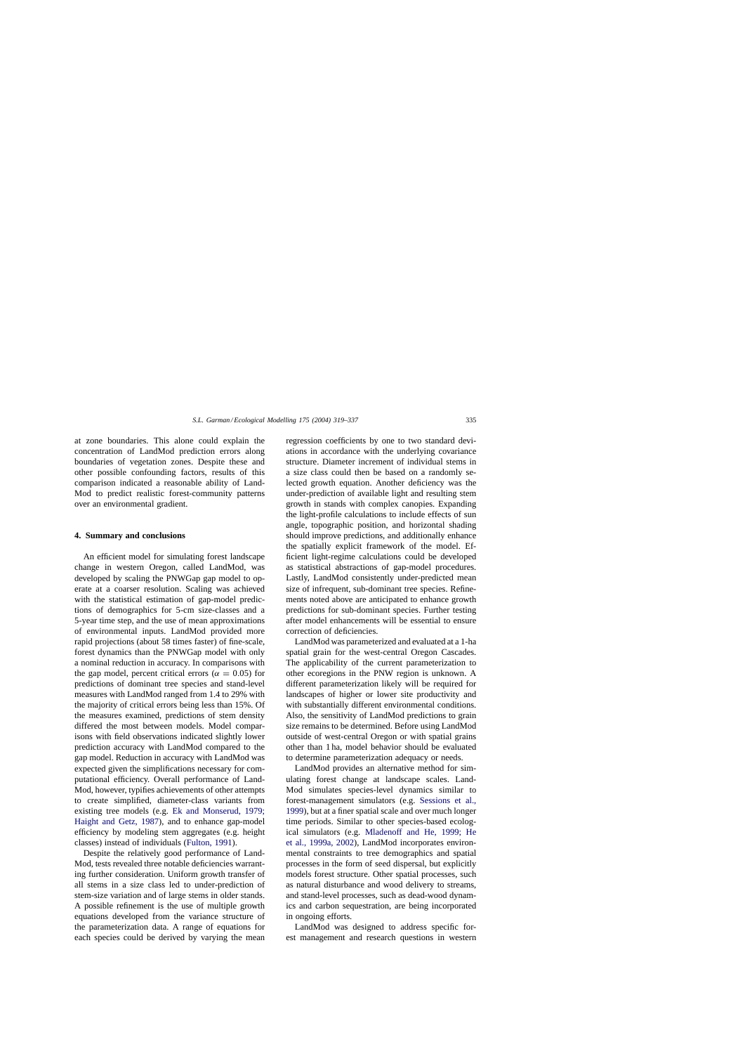at zone boundaries. This alone could explain the concentration of LandMod prediction errors along boundaries of vegetation zones. Despite these and other possible confounding factors, results of this comparison indicated a reasonable ability of Land-Mod to predict realistic forest-community patterns over an environmental gradient.

#### **4. Summary and conclusions**

An efficient model for simulating forest landscape change in western Oregon, called LandMod, was developed by scaling the PNWGap gap model to operate at a coarser resolution. Scaling was achieved with the statistical estimation of gap-model predictions of demographics for 5-cm size-classes and a 5-year time step, and the use of mean approximations of environmental inputs. LandMod provided more rapid projections (about 58 times faster) of fine-scale, forest dynamics than the PNWGap model with only a nominal reduction in accuracy. In comparisons with the gap model, percent critical errors ( $\alpha = 0.05$ ) for predictions of dominant tree species and stand-level measures with LandMod ranged from 1.4 to 29% with the majority of critical errors being less than 15%. Of the measures examined, predictions of stem density differed the most between models. Model comparisons with field observations indicated slightly lower prediction accuracy with LandMod compared to the gap model. Reduction in accuracy with LandMod was expected given the simplifications necessary for computational efficiency. Overall performance of Land-Mod, however, typifies achievements of other attempts to create simplified, diameter-class variants from existing tree models (e.g. [Ek and Monserud, 1979;](#page-17-0) [Haight and Getz, 1987\)](#page-17-0), and to enhance gap-model efficiency by modeling stem aggregates (e.g. height classes) instead of individuals [\(Fulton, 1991\).](#page-17-0)

Despite the relatively good performance of Land-Mod, tests revealed three notable deficiencies warranting further consideration. Uniform growth transfer of all stems in a size class led to under-prediction of stem-size variation and of large stems in older stands. A possible refinement is the use of multiple growth equations developed from the variance structure of the parameterization data. A range of equations for each species could be derived by varying the mean regression coefficients by one to two standard deviations in accordance with the underlying covariance structure. Diameter increment of individual stems in a size class could then be based on a randomly selected growth equation. Another deficiency was the under-prediction of available light and resulting stem growth in stands with complex canopies. Expanding the light-profile calculations to include effects of sun angle, topographic position, and horizontal shading should improve predictions, and additionally enhance the spatially explicit framework of the model. Efficient light-regime calculations could be developed as statistical abstractions of gap-model procedures. Lastly, LandMod consistently under-predicted mean size of infrequent, sub-dominant tree species. Refinements noted above are anticipated to enhance growth predictions for sub-dominant species. Further testing after model enhancements will be essential to ensure correction of deficiencies.

LandMod was parameterized and evaluated at a 1-ha spatial grain for the west-central Oregon Cascades. The applicability of the current parameterization to other ecoregions in the PNW region is unknown. A different parameterization likely will be required for landscapes of higher or lower site productivity and with substantially different environmental conditions. Also, the sensitivity of LandMod predictions to grain size remains to be determined. Before using LandMod outside of west-central Oregon or with spatial grains other than 1 ha, model behavior should be evaluated to determine parameterization adequacy or needs.

LandMod provides an alternative method for simulating forest change at landscape scales. Land-Mod simulates species-level dynamics similar to forest-management simulators (e.g. [Sessions et al.,](#page-18-0) [1999\),](#page-18-0) but at a finer spatial scale and over much longer time periods. Similar to other species-based ecological simulators (e.g. [Mladenoff and He, 1999; H](#page-18-0)e [et al., 1999a, 2002\),](#page-18-0) LandMod incorporates environmental constraints to tree demographics and spatial processes in the form of seed dispersal, but explicitly models forest structure. Other spatial processes, such as natural disturbance and wood delivery to streams, and stand-level processes, such as dead-wood dynamics and carbon sequestration, are being incorporated in ongoing efforts.

LandMod was designed to address specific forest management and research questions in western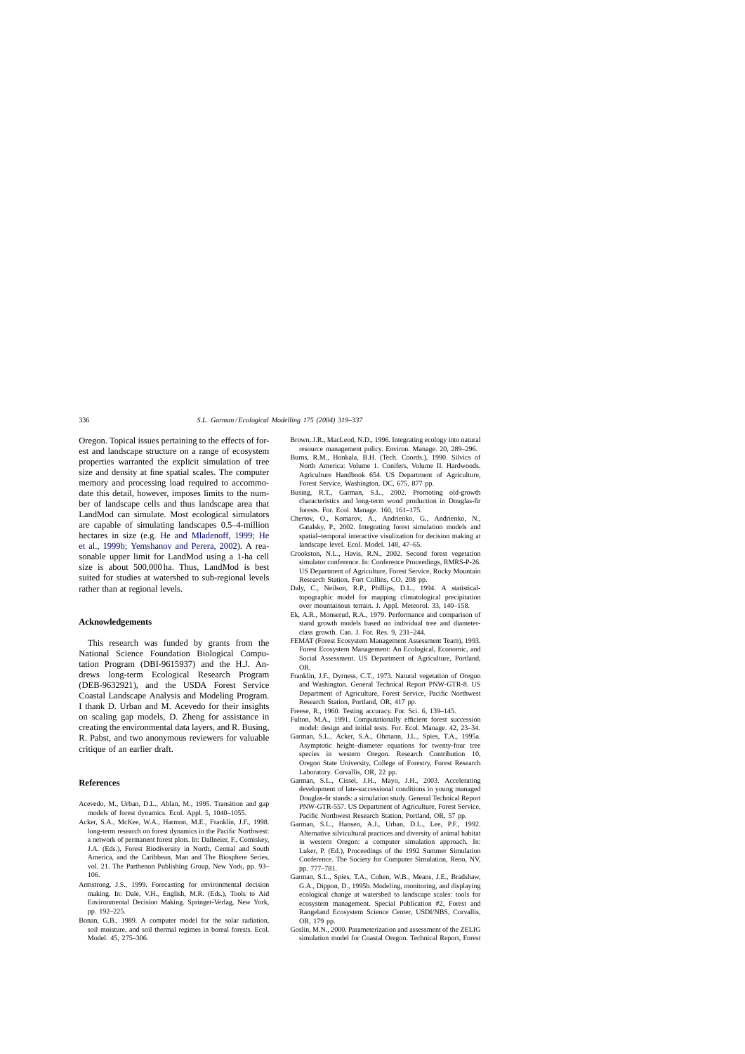<span id="page-17-0"></span>Oregon. Topical issues pertaining to the effects of forest and landscape structure on a range of ecosystem properties warranted the explicit simulation of tree size and density at fine spatial scales. The computer memory and processing load required to accommodate this detail, however, imposes limits to the number of landscape cells and thus landscape area that LandMod can simulate. Most ecological simulators are capable of simulating landscapes 0.5–4-million hectares in size (e.g. [He and Mladenoff, 1999; He](#page-18-0) [et al., 1999b; Yemshanov and Perera, 2002](#page-18-0)). A reasonable upper limit for LandMod using a 1-ha cell size is about 500,000 ha. Thus, LandMod is best suited for studies at watershed to sub-regional levels rather than at regional levels.

#### **Acknowledgements**

This research was funded by grants from the National Science Foundation Biological Computation Program (DBI-9615937) and the H.J. Andrews long-term Ecological Research Program (DEB-9632921), and the USDA Forest Service Coastal Landscape Analysis and Modeling Program. I thank D. Urban and M. Acevedo for their insights on scaling gap models, D. Zheng for assistance in creating the environmental data layers, and R. Busing, R. Pabst, and two anonymous reviewers for valuable critique of an earlier draft.

#### **References**

- Acevedo, M., Urban, D.L., Ablan, M., 1995. Transition and gap models of forest dynamics. Ecol. Appl. 5, 1040–1055.
- Acker, S.A., McKee, W.A., Harmon, M.E., Franklin, J.F., 1998. long-term research on forest dynamics in the Pacific Northwest: a network of permanent forest plots. In: Dallneier, F., Comiskey, J.A. (Eds.), Forest Biodiversity in North, Central and South America, and the Caribbean, Man and The Biosphere Series, vol. 21. The Parthenon Publishing Group, New York, pp. 93– 106.
- Armstrong, J.S., 1999. Forecasting for environmental decision making. In: Dale, V.H., English, M.R. (Eds.), Tools to Aid Environmental Decision Making. Springet-Verlag, New York, pp. 192–225.
- Bonan, G.B., 1989. A computer model for the solar radiation, soil moisture, and soil thermal regimes in boreal forests. Ecol. Model. 45, 275–306.
- Brown, J.R., MacLeod, N.D., 1996. Integrating ecology into natural resource management policy. Environ. Manage. 20, 289–296.
- Burns, R.M., Honkala, B.H. (Tech. Coords.), 1990. Silvics of North America: Volume 1. Conifers, Volume II. Hardwoods. Agriculture Handbook 654. US Department of Agriculture, Forest Service, Washington, DC, 675, 877 pp.
- Busing, R.T., Garman, S.L., 2002. Promoting old-growth characteristics and long-term wood production in Douglas-fir forests. For. Ecol. Manage. 160, 161–175.
- Chertov, O., Komarov, A., Andrienko, G., Andrienko, N., Gatalsky, P., 2002. Integrating forest simulation models and spatial–temporal interactive visulization for decision making at landscape level. Ecol. Model. 148, 47–65.
- Crookston, N.L., Havis, R.N., 2002. Second forest vegetation simulator conference. In: Conference Proceedings, RMRS-P-26. US Department of Agriculture, Forest Service, Rocky Mountain Research Station, Fort Collins, CO, 208 pp.
- Daly, C., Neilson, R.P., Phillips, D.L., 1994. A statisticaltopographic model for mapping climatological precipitation over mountainous terrain. J. Appl. Meteorol. 33, 140–158.
- Ek, A.R., Monserud, R.A., 1979. Performance and comparison of stand growth models based on individual tree and diameterclass growth. Can. J. For. Res. 9, 231–244.
- FEMAT (Forest Ecosystem Management Assessment Team), 1993. Forest Ecosystem Management: An Ecological, Economic, and Social Assessment. US Department of Agriculture, Portland, OR.
- Franklin, J.F., Dyrness, C.T., 1973. Natural vegetation of Oregon and Washington. General Technical Report PNW-GTR-8. US Department of Agriculture, Forest Service, Pacific Northwest Research Station, Portland, OR, 417 pp.
- Freese, R., 1960. Testing accuracy. For. Sci. 6, 139–145.
- Fulton, M.A., 1991. Computationally efficient forest succession model: design and initial tests. For. Ecol. Manage. 42, 23–34.
- Garman, S.L., Acker, S.A., Ohmann, J.L., Spies, T.A., 1995a. Asymptotic height–diameter equations for twenty-four tree species in western Oregon. Research Contribution 10, Oregon State University, College of Forestry, Forest Research Laboratory. Corvallis, OR, 22 pp.
- Garman, S.L., Cissel, J.H., Mayo, J.H., 2003. Accelerating development of late-successional conditions in young managed Douglas-fir stands: a simulation study. General Technical Report PNW-GTR-557. US Department of Agriculture, Forest Service, Pacific Northwest Research Station, Portland, OR, 57 pp.
- Garman, S.L., Hansen, A.J., Urban, D.L., Lee, P.F., 1992. Alternative silvicultural practices and diversity of animal habitat in western Oregon: a computer simulation approach. In: Luker, P. (Ed.), Proceedings of the 1992 Summer Simulation Conference. The Society for Computer Simulation, Reno, NV, pp. 777–781.
- Garman, S.L., Spies, T.A., Cohen, W.B., Means, J.E., Bradshaw, G.A., Dippon, D., 1995b. Modeling, monitoring, and displaying ecological change at watershed to landscape scales: tools for ecosystem management. Special Publication #2, Forest and Rangeland Ecosystem Science Center, USDI/NBS, Corvallis, OR, 179 pp.
- Goslin, M.N., 2000. Parameterization and assessment of the ZELIG simulation model for Coastal Oregon. Technical Report, Forest